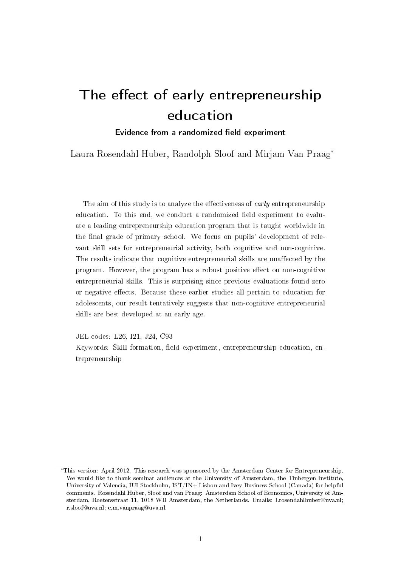# The effect of early entrepreneurship education

## Evidence from a randomized field experiment

Laura Rosendahl Huber, Randolph Sloof and Mirjam Van Praag<sup>∗</sup>

The aim of this study is to analyze the effectiveness of early entrepreneurship education. To this end, we conduct a randomized field experiment to evaluate a leading entrepreneurship education program that is taught worldwide in the final grade of primary school. We focus on pupils' development of relevant skill sets for entrepreneurial activity, both cognitive and non-cognitive. The results indicate that cognitive entrepreneurial skills are unaffected by the program. However, the program has a robust positive effect on non-cognitive entrepreneurial skills. This is surprising since previous evaluations found zero or negative effects. Because these earlier studies all pertain to education for adolescents, our result tentatively suggests that non-cognitive entrepreneurial skills are best developed at an early age.

JEL-codes: L26, I21, J24, C93

Keywords: Skill formation, field experiment, entrepreneurship education, entrepreneurship

<sup>∗</sup>This version: April 2012. This research was sponsored by the Amsterdam Center for Entrepreneurship. We would like to thank seminar audiences at the University of Amsterdam, the Tinbergen Institute, University of Valencia, IUI Stockholm, IST/IN+ Lisbon and Ivey Business School (Canada) for helpful comments. Rosendahl Huber, Sloof and van Praag: Amsterdam School of Economics, University of Amsterdam, Roetersstraat 11, 1018 WB Amsterdam, the Netherlands. Emails: l.rosendahlhuber@uva.nl; r.sloof@uva.nl; c.m.vanpraag@uva.nl.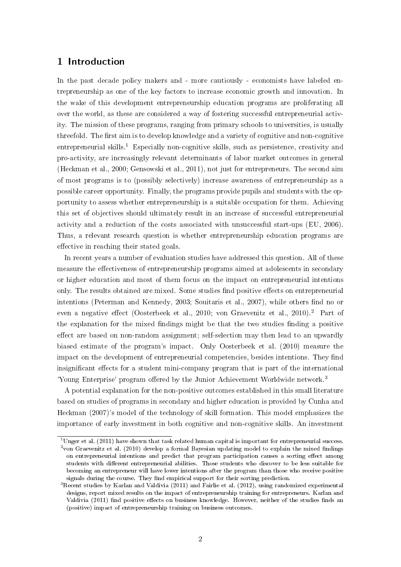## 1 Introduction

In the past decade policy makers and - more cautiously - economists have labeled entrepreneurship as one of the key factors to increase economic growth and innovation. In the wake of this development entrepreneurship education programs are proliferating all over the world, as these are considered a way of fostering successful entrepreneurial activity. The mission of these programs, ranging from primary schools to universities, is usually threefold. The first aim is to develop knowledge and a variety of cognitive and non-cognitive entrepreneurial skills.<sup>1</sup> Especially non-cognitive skills, such as persistence, creativity and pro-activity, are increasingly relevant determinants of labor market outcomes in general (Heckman et al., 2000; Gensowski et al., 2011), not just for entrepreneurs. The second aim of most programs is to (possibly selectively) increase awareness of entrepreneurship as a possible career opportunity. Finally, the programs provide pupils and students with the opportunity to assess whether entrepreneurship is a suitable occupation for them. Achieving this set of objectives should ultimately result in an increase of successful entrepreneurial activity and a reduction of the costs associated with unsuccessful start-ups (EU, 2006). Thus, a relevant research question is whether entrepreneurship education programs are effective in reaching their stated goals.

In recent years a number of evaluation studies have addressed this question. All of these measure the effectiveness of entrepreneurship programs aimed at adolescents in secondary or higher education and most of them focus on the impact on entrepreneurial intentions only. The results obtained are mixed. Some studies find positive effects on entrepreneurial intentions (Peterman and Kennedy, 2003; Souitaris et al., 2007), while others find no or even a negative effect (Oosterbeek et al., 2010; von Graevenitz et al., 2010).<sup>2</sup> Part of the explanation for the mixed findings might be that the two studies finding a positive effect are based on non-random assignment; self-selection may then lead to an upwardly biased estimate of the program's impact. Only Oosterbeek et al. (2010) measure the impact on the development of entrepreneurial competencies, besides intentions. They find insignificant effects for a student mini-company program that is part of the international 'Young Enterprise' program offered by the Junior Achievement Worldwide network.<sup>3</sup>

A potential explanation for the non-positive outcomes established in this small literature based on studies of programs in secondary and higher education is provided by Cunha and Heckman (2007)'s model of the technology of skill formation. This model emphasizes the importance of early investment in both cognitive and non-cognitive skills. An investment

<sup>&</sup>lt;sup>1</sup>Unger et al. (2011) have shown that task related human capital is important for entrepreneurial success.  $^2$ von Graevenitz et al. (2010) develop a formal Bayesian updating model to explain the mixed findings on entrepreneurial intentions and predict that program participation causes a sorting effect among students with dierent entrepreneurial abilities. Those students who discover to be less suitable for becoming an entrepreneur will have lower intentions after the program than those who receive positive signals during the course. They find empirical support for their sorting prediction.

 $3$ Recent studies by Karlan and Valdivia (2011) and Fairlie et al. (2012), using randomized experimental designs, report mixed results on the impact of entrepreneurship training for entrepreneurs. Karlan and Valdivia (2011) find positive effects on business knowledge. However, neither of the studies finds an (positive) impact of entrepreneurship training on business outcomes.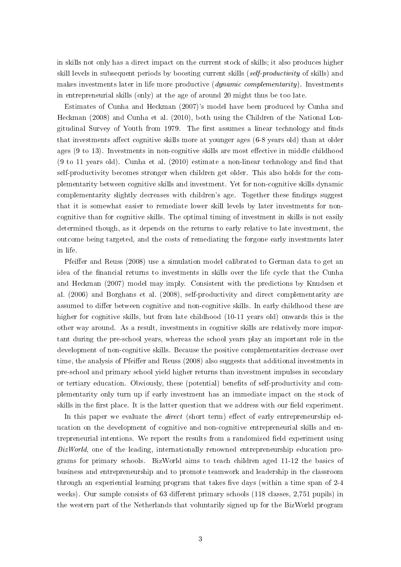in skills not only has a direct impact on the current stock of skills; it also produces higher skill levels in subsequent periods by boosting current skills (self-productivity of skills) and makes investments later in life more productive (dynamic complementarity). Investments in entrepreneurial skills (only) at the age of around 20 might thus be too late.

Estimates of Cunha and Heckman (2007)'s model have been produced by Cunha and Heckman (2008) and Cunha et al. (2010), both using the Children of the National Longitudinal Survey of Youth from 1979. The first assumes a linear technology and finds that investments affect cognitive skills more at younger ages (6-8 years old) than at older ages  $(9 \text{ to } 13)$ . Investments in non-cognitive skills are most effective in middle childhood  $(9 \text{ to } 11 \text{ years old})$ . Cunha et al.  $(2010)$  estimate a non-linear technology and find that self-productivity becomes stronger when children get older. This also holds for the complementarity between cognitive skills and investment. Yet for non-cognitive skills dynamic complementarity slightly decreases with children's age. Together these findings suggest that it is somewhat easier to remediate lower skill levels by later investments for noncognitive than for cognitive skills. The optimal timing of investment in skills is not easily determined though, as it depends on the returns to early relative to late investment, the outcome being targeted, and the costs of remediating the forgone early investments later in life.

Pfeiffer and Reuss (2008) use a simulation model calibrated to German data to get an idea of the financial returns to investments in skills over the life cycle that the Cunha and Heckman (2007) model may imply. Consistent with the predictions by Knudsen et al. (2006) and Borghans et al. (2008), self-productivity and direct complementarity are assumed to differ between cognitive and non-cognitive skills. In early childhood these are higher for cognitive skills, but from late childhood (10-11 years old) onwards this is the other way around. As a result, investments in cognitive skills are relatively more important during the pre-school years, whereas the school years play an important role in the development of non-cognitive skills. Because the positive complementarities decrease over time, the analysis of Pfeiffer and Reuss (2008) also suggests that additional investments in pre-school and primary school yield higher returns than investment impulses in secondary or tertiary education. Obviously, these (potential) benets of self-productivity and complementarity only turn up if early investment has an immediate impact on the stock of skills in the first place. It is the latter question that we address with our field experiment.

In this paper we evaluate the *direct* (short term) effect of early entrepreneurship education on the development of cognitive and non-cognitive entrepreneurial skills and entrepreneurial intentions. We report the results from a randomized field experiment using BizWorld, one of the leading, internationally renowned entrepreneurship education programs for primary schools. BizWorld aims to teach children aged 11-12 the basics of business and entrepreneurship and to promote teamwork and leadership in the classroom through an experiential learning program that takes five days (within a time span of  $2-4$ weeks). Our sample consists of 63 different primary schools  $(118 \text{ classes}, 2,751 \text{ pupils})$  in the western part of the Netherlands that voluntarily signed up for the BizWorld program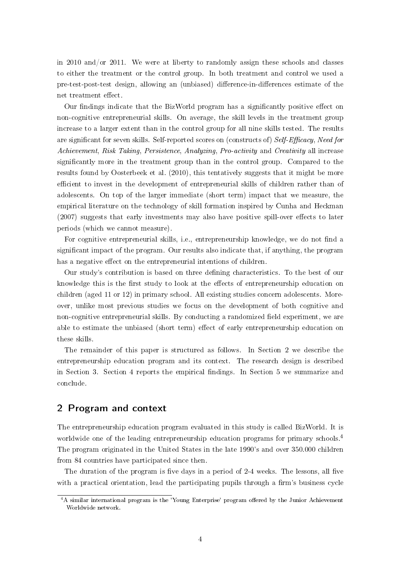in 2010 and/or 2011. We were at liberty to randomly assign these schools and classes to either the treatment or the control group. In both treatment and control we used a pre-test-post-test design, allowing an (unbiased) difference-in-differences estimate of the net treatment effect.

Our findings indicate that the BizWorld program has a significantly positive effect on non-cognitive entrepreneurial skills. On average, the skill levels in the treatment group increase to a larger extent than in the control group for all nine skills tested. The results are significant for seven skills. Self-reported scores on (constructs of) Self-Efficacy, Need for Achievement, Risk Taking, Persistence, Analyzing, Pro-activity and Creativity all increase signicantly more in the treatment group than in the control group. Compared to the results found by Oosterbeek et al. (2010), this tentatively suggests that it might be more efficient to invest in the development of entrepreneurial skills of children rather than of adolescents. On top of the larger immediate (short term) impact that we measure, the empirical literature on the technology of skill formation inspired by Cunha and Heckman  $(2007)$  suggests that early investments may also have positive spill-over effects to later periods (which we cannot measure).

For cognitive entrepreneurial skills, i.e., entrepreneurship knowledge, we do not find a signicant impact of the program. Our results also indicate that, if anything, the program has a negative effect on the entrepreneurial intentions of children.

Our study's contribution is based on three dening characteristics. To the best of our knowledge this is the first study to look at the effects of entrepreneurship education on children (aged 11 or 12) in primary school. All existing studies concern adolescents. Moreover, unlike most previous studies we focus on the development of both cognitive and non-cognitive entrepreneurial skills. By conducting a randomized field experiment, we are able to estimate the unbiased (short term) effect of early entrepreneurship education on these skills.

The remainder of this paper is structured as follows. In Section 2 we describe the entrepreneurship education program and its context. The research design is described in Section 3. Section 4 reports the empirical findings. In Section 5 we summarize and conclude.

## 2 Program and context

The entrepreneurship education program evaluated in this study is called BizWorld. It is worldwide one of the leading entrepreneurship education programs for primary schools.<sup>4</sup> The program originated in the United States in the late 1990's and over 350.000 children from 84 countries have participated since then.

The duration of the program is five days in a period of  $2-4$  weeks. The lessons, all five with a practical orientation, lead the participating pupils through a firm's business cycle

<sup>&</sup>lt;sup>4</sup>A similar international program is the 'Young Enterprise' program offered by the Junior Achievement Worldwide network.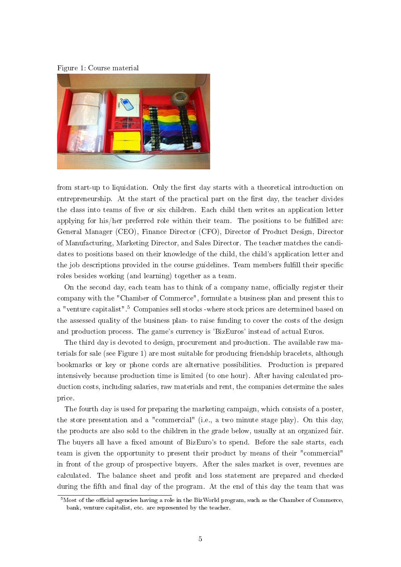



from start-up to liquidation. Only the first day starts with a theoretical introduction on entrepreneurship. At the start of the practical part on the first day, the teacher divides the class into teams of five or six children. Each child then writes an application letter applying for his/her preferred role within their team. The positions to be fullled are: General Manager (CEO), Finance Director (CFO), Director of Product Design, Director of Manufacturing, Marketing Director, and Sales Director. The teacher matches the candidates to positions based on their knowledge of the child, the child's application letter and the job descriptions provided in the course guidelines. Team members fulfill their specific roles besides working (and learning) together as a team.

On the second day, each team has to think of a company name, officially register their company with the "Chamber of Commerce", formulate a business plan and present this to a "venture capitalist".<sup>5</sup> Companies sell stocks -where stock prices are determined based on the assessed quality of the business plan- to raise funding to cover the costs of the design and production process. The game's currency is 'BizEuros' instead of actual Euros.

The third day is devoted to design, procurement and production. The available raw materials for sale (see Figure 1) are most suitable for producing friendship bracelets, although bookmarks or key or phone cords are alternative possibilities. Production is prepared intensively because production time is limited (to one hour). After having calculated production costs, including salaries, raw materials and rent, the companies determine the sales price.

The fourth day is used for preparing the marketing campaign, which consists of a poster, the store presentation and a "commercial" (i.e., a two minute stage play). On this day, the products are also sold to the children in the grade below, usually at an organized fair. The buyers all have a fixed amount of BizEuro's to spend. Before the sale starts, each team is given the opportunity to present their product by means of their "commercial" in front of the group of prospective buyers. After the sales market is over, revenues are calculated. The balance sheet and profit and loss statement are prepared and checked during the fifth and final day of the program. At the end of this day the team that was

 $5$ Most of the official agencies having a role in the BizWorld program, such as the Chamber of Commerce, bank, venture capitalist, etc. are represented by the teacher.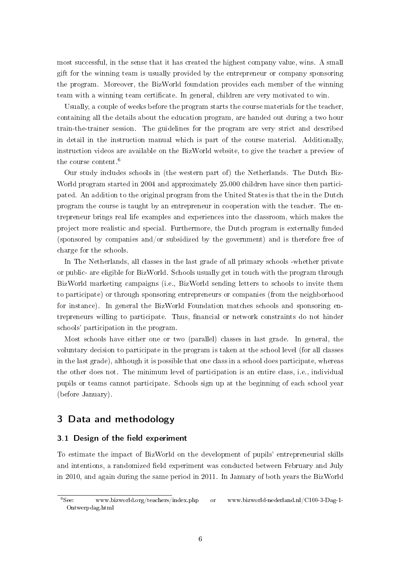most successful, in the sense that it has created the highest company value, wins. A small gift for the winning team is usually provided by the entrepreneur or company sponsoring the program. Moreover, the BizWorld foundation provides each member of the winning team with a winning team certificate. In general, children are very motivated to win.

Usually, a couple of weeks before the program starts the course materials for the teacher, containing all the details about the education program, are handed out during a two hour train-the-trainer session. The guidelines for the program are very strict and described in detail in the instruction manual which is part of the course material. Additionally, instruction videos are available on the BizWorld website, to give the teacher a preview of the course content.<sup>6</sup>

Our study includes schools in (the western part of) the Netherlands. The Dutch Biz-World program started in 2004 and approximately 25.000 children have since then participated. An addition to the original program from the United States is that the in the Dutch program the course is taught by an entrepreneur in cooperation with the teacher. The entrepreneur brings real life examples and experiences into the classroom, which makes the project more realistic and special. Furthermore, the Dutch program is externally funded (sponsored by companies and/or subsidized by the government) and is therefore free of charge for the schools.

In The Netherlands, all classes in the last grade of all primary schools -whether private or public- are eligible for BizWorld. Schools usually get in touch with the program through BizWorld marketing campaigns (i.e., BizWorld sending letters to schools to invite them to participate) or through sponsoring entrepreneurs or companies (from the neighborhood for instance). In general the BizWorld Foundation matches schools and sponsoring entrepreneurs willing to participate. Thus, financial or network constraints do not hinder schools' participation in the program.

Most schools have either one or two (parallel) classes in last grade. In general, the voluntary decision to participate in the program is taken at the school level (for all classes in the last grade), although it is possible that one class in a school does participate, whereas the other does not. The minimum level of participation is an entire class, i.e., individual pupils or teams cannot participate. Schools sign up at the beginning of each school year (before January).

## 3 Data and methodology

## 3.1 Design of the field experiment

To estimate the impact of BizWorld on the development of pupils' entrepreneurial skills and intentions, a randomized field experiment was conducted between February and July in 2010, and again during the same period in 2011. In January of both years the BizWorld

<sup>6</sup>See: www.bizworld.org/teachers/index.php or www.bizworld-nederland.nl/C100-3-Dag-1- Ontwerpdag.html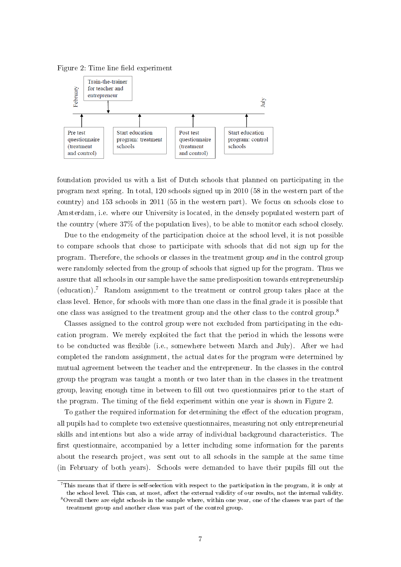



foundation provided us with a list of Dutch schools that planned on participating in the program next spring. In total, 120 schools signed up in 2010 (58 in the western part of the country) and 153 schools in 2011 (55 in the western part). We focus on schools close to Amsterdam, i.e. where our University is located, in the densely populated western part of the country (where 37% of the population lives), to be able to monitor each school closely.

Due to the endogeneity of the participation choice at the school level, it is not possible to compare schools that chose to participate with schools that did not sign up for the program. Therefore, the schools or classes in the treatment group and in the control group were randomly selected from the group of schools that signed up for the program. Thus we assure that all schools in our sample have the same predisposition towards entrepreneurship (education).<sup>7</sup> Random assignment to the treatment or control group takes place at the class level. Hence, for schools with more than one class in the final grade it is possible that one class was assigned to the treatment group and the other class to the control group.<sup>8</sup>

Classes assigned to the control group were not excluded from participating in the education program. We merely exploited the fact that the period in which the lessons were to be conducted was flexible (i.e., somewhere between March and July). After we had completed the random assignment, the actual dates for the program were determined by mutual agreement between the teacher and the entrepreneur. In the classes in the control group the program was taught a month or two later than in the classes in the treatment group, leaving enough time in between to fill out two questionnaires prior to the start of the program. The timing of the field experiment within one year is shown in Figure 2.

To gather the required information for determining the effect of the education program, all pupils had to complete two extensive questionnaires, measuring not only entrepreneurial skills and intentions but also a wide array of individual background characteristics. The first questionnaire, accompanied by a letter including some information for the parents about the research project, was sent out to all schools in the sample at the same time (in February of both years). Schools were demanded to have their pupils ll out the

<sup>7</sup>This means that if there is self-selection with respect to the participation in the program, it is only at the school level. This can, at most, affect the external validity of our results, not the internal validity.

<sup>8</sup>Overall there are eight schools in the sample where, within one year, one of the classes was part of the treatment group and another class was part of the control group.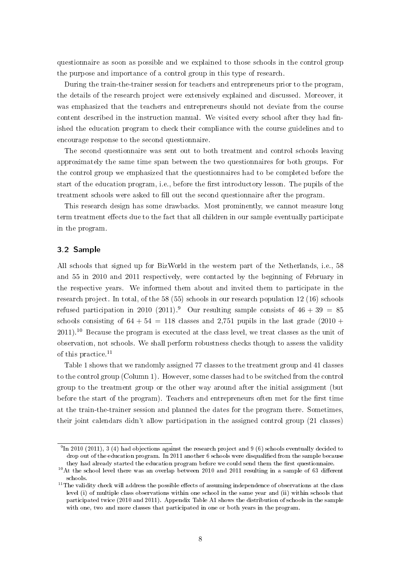questionnaire as soon as possible and we explained to those schools in the control group the purpose and importance of a control group in this type of research.

During the train-the-trainer session for teachers and entrepreneurs prior to the program, the details of the research project were extensively explained and discussed. Moreover, it was emphasized that the teachers and entrepreneurs should not deviate from the course content described in the instruction manual. We visited every school after they had finished the education program to check their compliance with the course guidelines and to encourage response to the second questionnaire.

The second questionnaire was sent out to both treatment and control schools leaving approximately the same time span between the two questionnaires for both groups. For the control group we emphasized that the questionnaires had to be completed before the start of the education program, i.e., before the first introductory lesson. The pupils of the treatment schools were asked to fill out the second questionnaire after the program.

This research design has some drawbacks. Most prominently, we cannot measure long term treatment effects due to the fact that all children in our sample eventually participate in the program.

## 3.2 Sample

All schools that signed up for BizWorld in the western part of the Netherlands, i.e., 58 and 55 in 2010 and 2011 respectively, were contacted by the beginning of February in the respective years. We informed them about and invited them to participate in the research project. In total, of the 58 (55) schools in our research population 12 (16) schools refused participation in 2010 (2011).<sup>9</sup> Our resulting sample consists of  $46 + 39 = 85$ schools consisting of  $64 + 54 = 118$  classes and 2,751 pupils in the last grade  $(2010 +$ 2011). <sup>10</sup> Because the program is executed at the class level, we treat classes as the unit of observation, not schools. We shall perform robustness checks though to assess the validity of this practice.<sup>11</sup>

Table 1 shows that we randomly assigned 77 classes to the treatment group and 41 classes to the control group (Column 1). However, some classes had to be switched from the control group to the treatment group or the other way around after the initial assignment (but before the start of the program). Teachers and entrepreneurs often met for the first time at the train-the-trainer session and planned the dates for the program there. Sometimes, their joint calendars didn't allow participation in the assigned control group (21 classes)

 $^{9}$ In 2010 (2011), 3 (4) had objections against the research project and 9 (6) schools eventually decided to drop out of the education program. In 2011 another 6 schools were disqualified from the sample because they had already started the education program before we could send them the first questionnaire.

 $10$ At the school level there was an overlap between 2010 and 2011 resulting in a sample of 63 different schools.

 $11$ The validity check will address the possible effects of assuming independence of observations at the class level (i) of multiple class observations within one school in the same year and (ii) within schools that participated twice (2010 and 2011). Appendix Table A1 shows the distribution of schools in the sample with one, two and more classes that participated in one or both years in the program.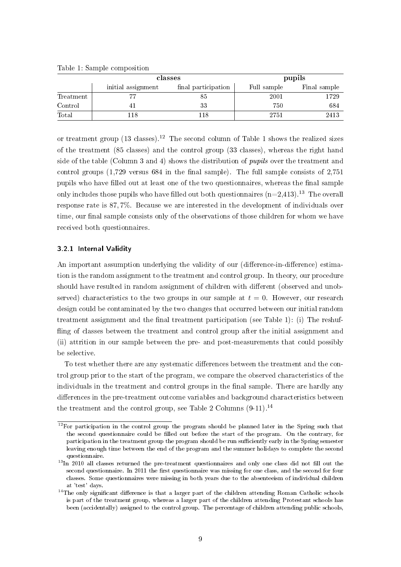|           |                    | classes             |             | pupils       |
|-----------|--------------------|---------------------|-------------|--------------|
|           | initial assignment | final participation | Full sample | Final sample |
| Treatment |                    | 85                  | 2001        | 1729.        |
| Control   |                    | 33                  | 750         | 684          |
| Total     | !18                | 18                  | 2751        | 2413         |

Table 1: Sample composition

or treatment group (13 classes).<sup>12</sup> The second column of Table 1 shows the realized sizes of the treatment (85 classes) and the control group (33 classes), whereas the right hand side of the table (Column 3 and 4) shows the distribution of pupils over the treatment and control groups  $(1,729)$  versus 684 in the final sample). The full sample consists of  $2,751$ pupils who have filled out at least one of the two questionnaires, whereas the final sample only includes those pupils who have filled out both questionnaires  $(n=2,413)$ .<sup>13</sup> The overall response rate is 87, 7%. Because we are interested in the development of individuals over time, our final sample consists only of the observations of those children for whom we have received both questionnaires.

#### 3.2.1 Internal Validity

An important assumption underlying the validity of our (difference-in-difference) estimation is the random assignment to the treatment and control group. In theory, our procedure should have resulted in random assignment of children with different (observed and unobserved) characteristics to the two groups in our sample at  $t = 0$ . However, our research design could be contaminated by the two changes that occurred between our initial random treatment assignment and the final treatment participation (see Table 1): (i) The reshuffling of classes between the treatment and control group after the initial assignment and (ii) attrition in our sample between the pre- and post-measurements that could possibly be selective.

To test whether there are any systematic differences between the treatment and the control group prior to the start of the program, we compare the observed characteristics of the individuals in the treatment and control groups in the final sample. There are hardly any differences in the pre-treatment outcome variables and background characteristics between the treatment and the control group, see Table 2 Columns  $(9-11)^{14}$ 

<sup>&</sup>lt;sup>12</sup>For participation in the control group the program should be planned later in the Spring such that the second questionnaire could be filled out before the start of the program. On the contrary, for participation in the treatment group the program should be run sufficiently early in the Spring semester leaving enough time between the end of the program and the summer holidays to complete the second questionnaire.

 $13\text{In}$  2010 all classes returned the pre-treatment questionnaires and only one class did not fill out the second questionnaire. In 2011 the first questionnaire was missing for one class, and the second for four classes. Some questionnaires were missing in both years due to the absenteeism of individual children at 'test' days.

 $14$ The only significant difference is that a larger part of the children attending Roman Catholic schools is part of the treatment group, whereas a larger part of the children attending Protestant schools has been (accidentally) assigned to the control group. The percentage of children attending public schools,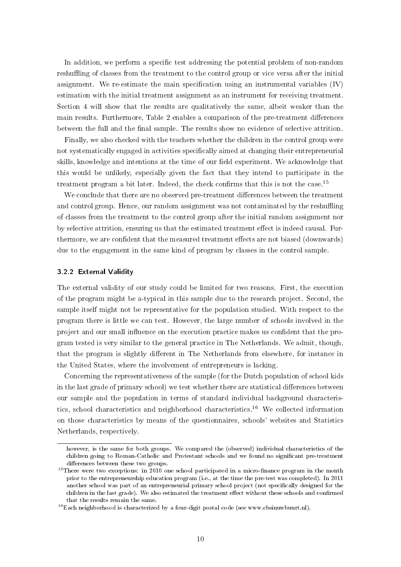In addition, we perform a specific test addressing the potential problem of non-random reshuffling of classes from the treatment to the control group or vice versa after the initial assignment. We re-estimate the main specification using an instrumental variables  $(IV)$ estimation with the initial treatment assignment as an instrument for receiving treatment. Section 4 will show that the results are qualitatively the same, albeit weaker than the main results. Furthermore, Table 2 enables a comparison of the pre-treatment differences between the full and the final sample. The results show no evidence of selective attrition.

Finally, we also checked with the teachers whether the children in the control group were not systematically engaged in activities specifically aimed at changing their entrepreneurial skills, knowledge and intentions at the time of our field experiment. We acknowledge that this would be unlikely, especially given the fact that they intend to participate in the treatment program a bit later. Indeed, the check confirms that this is not the case.<sup>15</sup>

We conclude that there are no observed pre-treatment differences between the treatment and control group. Hence, our random assignment was not contaminated by the reshuffling of classes from the treatment to the control group after the initial random assignment nor by selective attrition, ensuring us that the estimated treatment effect is indeed causal. Furthermore, we are confident that the measured treatment effects are not biased (downwards) due to the engagement in the same kind of program by classes in the control sample.

#### 3.2.2 External Validity

The external validity of our study could be limited for two reasons. First, the execution of the program might be a-typical in this sample due to the research project. Second, the sample itself might not be representative for the population studied. With respect to the program there is little we can test. However, the large number of schools involved in the project and our small influence on the execution practice makes us confident that the program tested is very similar to the general practice in The Netherlands. We admit, though, that the program is slightly different in The Netherlands from elsewhere, for instance in the United States, where the involvement of entrepreneurs is lacking.

Concerning the representativeness of the sample (for the Dutch population of school kids in the last grade of primary school) we test whether there are statistical differences between our sample and the population in terms of standard individual background characteristics, school characteristics and neighborhood characteristics.<sup>16</sup> We collected information on those characteristics by means of the questionnaires, schools' websites and Statistics Netherlands, respectively.

however, is the same for both groups. We compared the (observed) individual characteristics of the children going to Roman-Catholic and Protestant schools and we found no signicant pre-treatment differences between these two groups.

 $15$ There were two exceptions: in 2010 one school participated in a micro-finance program in the month prior to the entrepreneurship education program (i.e., at the time the pre-test was completed). In 2011 another school was part of an entrepreneurial primary school project (not specifically designed for the children in the last grade). We also estimated the treatment effect without these schools and confirmed that the results remain the same.

 $^{16}$  Each neighborhood is characterized by a four-digit postal code (see www.cbsinuwbuurt.nl).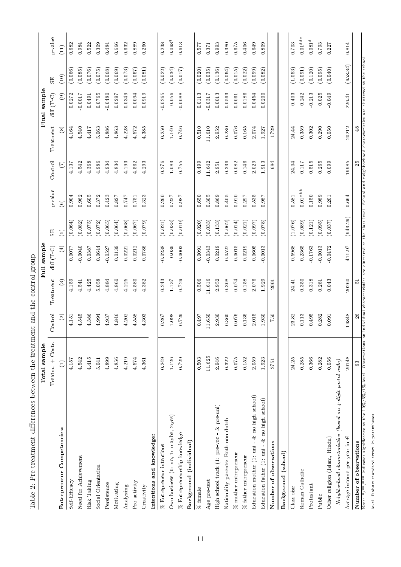| Table 2: Pre-treatment differences between the treatment and the control group      | Total sample     |         |                                                                                                                                  | Full sample                               |               |           |                |               | Final sample   |          |           |
|-------------------------------------------------------------------------------------|------------------|---------|----------------------------------------------------------------------------------------------------------------------------------|-------------------------------------------|---------------|-----------|----------------|---------------|----------------|----------|-----------|
|                                                                                     | Treatm. + Contr. | Control | Treatment                                                                                                                        | $\mathrm{diff}\ (\mathrm{T}\ \mathrm{C})$ | SE            | p-value   | Control        | Treatment     | $diff(T-C)$    | SE       | p value   |
| Entrepreneur Competencies:                                                          | $\bigoplus$      | $\odot$ | $\odot$                                                                                                                          | $\bigoplus$                               | $\widehat{5}$ | $\odot$   | $\mathfrak{S}$ | $\circledast$ | $\circledcirc$ | (10)     | (11)      |
| Self Efficacy                                                                       | 4.157            | 4.151   | 4.159                                                                                                                            | 0.0077                                    | (0.064)       | 0.904     | 4.137          | 4.164         | 0.0272         | (0.066)  | 0.682     |
| Need for Achievement                                                                | 4.542            | 4.545   | 4.541                                                                                                                            | $-0.0040$                                 | (0.082)       | 0.962     | 4.542          | 4.540         | $-0.0017$      | (0.085)  | 0.984     |
| Risk Taking                                                                         | 4.415            | 4.386   | 4.425                                                                                                                            | 0.0387                                    | (0.075)       | $\,0.605$ | 4.368          | 4.417         | 0.0491         | (0.076)  | 0.522     |
| Social Orientation                                                                  | 5.041            | 4.994   | 5.058                                                                                                                            | 0.0644                                    | (0.072)       | 0.372     | 4.986          | 5.063         | 0.0765         | (0.075)  | 0.309     |
| Persistence                                                                         | 4.899            | 4.937   | 4.884                                                                                                                            | $-0.0527$                                 | (0.065)       | 0.423     | 4.934          | 4.886         | $-0.0480$      | (0.068)  | 0.484     |
| Motivating                                                                          | 4.856            | 4.846   | 4.860                                                                                                                            | 0.0139                                    | (0.064)       | 0.827     | 4.834          | 4.863         | 0.0297         | (0.069)  | 0.666     |
| Analyzing                                                                           | 4.219            | 4.202   | 4.225                                                                                                                            | 0.0221                                    | (0.068)       | 0.747     | 4.193          | 4.228         | 0.0349         | (0.073)  | 0.632     |
| Pro-activity                                                                        | 4.574            | 4.558   | 4.580                                                                                                                            | 0.0212                                    | (0.067)       | 0.751     | 4.562          | 4.572         | 0.0094         | (0.067)  | 0.889     |
| Creativity                                                                          | 4.361            | 4.303   | 4.382                                                                                                                            | 0.0786                                    | (0.079)       | 0.323     | 4.293          | 4.385         | 0.0919         | (0.081)  | 0.260     |
| and knowledge:<br>Intentions                                                        |                  |         |                                                                                                                                  |                                           |               |           |                |               |                |          |           |
| $\%$ Entrepreneur intentions                                                        | 0.249            | 0.267   | 0.243                                                                                                                            | $-0.0238$                                 | (0.021)       | 0.260     | 0.276          | 0.250         | $-0.0265$      | (0.022)  | 0.238     |
| Own business (0: no, 1: maybe, 2:yes)                                               | 1.126            | 1.098   | 1.137                                                                                                                            | 0.039                                     | (0.033)       | 0.237     | 1.083          | 1.140         | 0.056          | (0.034)  | $0.098*$  |
| $%$ Entrepreneurship knowledge                                                      | 0.729            | 0.729   | 0.729                                                                                                                            | $-0.0003$                                 | (0.019)       | 0.987     | 0.755          | 0.746         | $-0.0088$      | (0.017)  | 0.613     |
| Background (individual)                                                             |                  |         |                                                                                                                                  |                                           |               |           |                |               |                |          |           |
| $\%$ female                                                                         | 0.503            | 0.497   | 0.506                                                                                                                            | 0.0091                                    | (0.020)       | 0.650     | 0.499          | 0.510         | $\,0.0113\,$   | (0.020)  | $0.577\,$ |
| Age pre-test                                                                        | 11.625           | 11.650  | 11.616                                                                                                                           | $-0.0343$                                 | (0.033)       | 0.305     | 11.642         | 11.610        | $-0.0317$      | (0.035)  | 0.371     |
| High school track (1: pre-voc - 5: pre-uni)                                         | 2.946            | 2.930   | 2.952                                                                                                                            | 0.0219                                    | (0.133)       | 0.869     | 2.951          | 2.952         | 0.0013         | (0.136)  | 0.993     |
| Nationality parents: Both non-dutch                                                 | 0.322            | 0.360   | 0.308                                                                                                                            | $-0.0522$                                 | (0.062)       | 0.405     | 0.336          | 0.280         | $-0.0563$      | (0.064)  | 0.380     |
| $\%$ mother entrepreneur                                                            | $0.075\,$        | $0.076$ | $0.074\,$                                                                                                                        | $-0.0015$                                 | (0.014)       | 0.910     | 0.082          | $0.076\,$     | $-0.0061$      | (0.015)  | $0.675\,$ |
| $\%$ father entrepreneur                                                            | 0.152            | 0.136   | 0.158                                                                                                                            | 0.0219                                    | (0.021)       | 0.297     | 0.146          | 0.165         | 0.0186         | (0.022)  | 0.406     |
| Education mother $(1:$ uni - 4: no high school)                                     | 2.059            | 2.015   | 2.076                                                                                                                            | 0.0605                                    | (0.097)       | 0.535     | 2.029          | 2.074         | 0.0454         | (0.099)  | 0.649     |
| Education father (1: uni - 4: no high school)                                       | 1.923            | 1.930   | 1.929                                                                                                                            | 0.0013                                    | (0.078)       | 0.987     | 1.913          | 1.927         | 0.0200         | (0.082)  | 0.809     |
| Number of observations                                                              | 2751             | 057     | 2001                                                                                                                             |                                           |               |           | 684            | 1729          |                |          |           |
| Background (school)                                                                 |                  |         |                                                                                                                                  |                                           |               |           |                |               |                |          |           |
| Class size                                                                          | 24.25            | 23.82   | 24.41                                                                                                                            | 0.5968                                    | (1.076)       | 0.581     | 24.04          | 24.44         | 0.403          | (1.053)  | 0.703     |
| Roman Catholic                                                                      | 0.285            | 0.113   | 0.350                                                                                                                            | 0.2365                                    | (0.089)       | $0.01***$ | $0.117$        | 0.359         | 0.242          | (0.091)  | $0.01***$ |
| Protestant                                                                          | 0.366            | 0.495   | 0.318                                                                                                                            | $-0.1763$                                 | (0.121)       | 0.150     | $0.515\,$      | 0.302         | $\rm 0.213$    | (0.120)  | $0.081*$  |
| Public                                                                              | 0.282            | 0.282   | 0.281                                                                                                                            | $-0.0013$                                 | (0.095)       | 0.989     | 0.265          | 0.290         | $0.025\,$      | (0.095)  | 0.793     |
| Other religion (Islam, Hindu)                                                       | 0.056            | 0.091   | 0.043                                                                                                                            | $-0.0472$                                 | (0.037)       | $0.201\,$ | 0.099          | 0.050         | $-0.049$       | (0.040)  | 0.227     |
| Neighborhood characteristics (based on $4$ -digit postal code)                      |                  |         |                                                                                                                                  |                                           |               |           |                |               |                |          |           |
| Ψ<br>Average income per year in                                                     | 20148            | 19848   | 20260                                                                                                                            | 411.97                                    | (943.29)      | 0.664     | 19985          | 20212         | 226.41         | (958.34) | 0.814     |
| Number of observations                                                              | $^{3}$           | $26\,$  | 5                                                                                                                                |                                           |               |           | 25             | $\frac{8}{3}$ |                |          |           |
| Note: */**/*** indicates significance at the $10\%/5\%/1\%$ -level. Observations on |                  |         | individual characteristics are clustered at the class level. School and neighborhood characteristics are clustered at the school |                                           |               |           |                |               |                |          |           |
| level. Robust standard errors in parentheses.                                       |                  |         |                                                                                                                                  |                                           |               |           |                |               |                |          |           |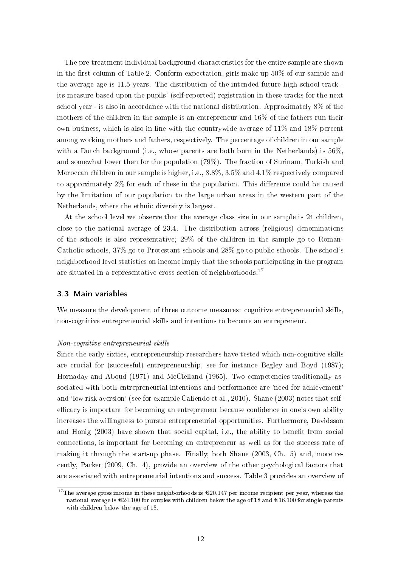The pre-treatment individual background characteristics for the entire sample are shown in the first column of Table 2. Conform expectation, girls make up  $50\%$  of our sample and the average age is 11.5 years. The distribution of the intended future high school track its measure based upon the pupils' (self-reported) registration in these tracks for the next school year - is also in accordance with the national distribution. Approximately 8% of the mothers of the children in the sample is an entrepreneur and 16% of the fathers run their own business, which is also in line with the countrywide average of 11% and 18% percent among working mothers and fathers, respectively. The percentage of children in our sample with a Dutch background (i.e., whose parents are both born in the Netherlands) is 56%. and somewhat lower than for the population (79%). The fraction of Surinam, Turkish and Moroccan children in our sample is higher, i.e., 8.8%, 3.5% and 4.1% respectively compared to approximately  $2\%$  for each of these in the population. This difference could be caused by the limitation of our population to the large urban areas in the western part of the Netherlands, where the ethnic diversity is largest.

At the school level we observe that the average class size in our sample is 24 children, close to the national average of 23.4. The distribution across (religious) denominations of the schools is also representative; 29% of the children in the sample go to Roman-Catholic schools, 37% go to Protestant schools and 28% go to public schools. The school's neighborhood level statistics on income imply that the schools participating in the program are situated in a representative cross section of neighborhoods.<sup>17</sup>

#### 3.3 Main variables

We measure the development of three outcome measures: cognitive entrepreneurial skills, non-cognitive entrepreneurial skills and intentions to become an entrepreneur.

#### Non-cognitive entrepreneurial skills

Since the early sixties, entrepreneurship researchers have tested which non-cognitive skills are crucial for (successful) entrepreneurship, see for instance Begley and Boyd (1987); Hornaday and Aboud (1971) and McClelland (1965). Two competencies traditionally associated with both entrepreneurial intentions and performance are 'need for achievement' and 'low risk aversion' (see for example Caliendo et al., 2010). Shane (2003) notes that selfefficacy is important for becoming an entrepreneur because confidence in one's own ability increases the willingness to pursue entrepreneurial opportunities. Furthermore, Davidsson and Honig (2003) have shown that social capital, i.e., the ability to benefit from social connections, is important for becoming an entrepreneur as well as for the success rate of making it through the start-up phase. Finally, both Shane (2003, Ch. 5) and, more recently, Parker (2009, Ch. 4), provide an overview of the other psychological factors that are associated with entrepreneurial intentions and success. Table 3 provides an overview of

<sup>&</sup>lt;sup>17</sup>The average gross income in these neighborhoods is  $\epsilon$ 20.147 per income recipient per year, whereas the national average is  $\mathcal{C}24.100$  for couples with children below the age of 18 and  $\mathcal{C}16.100$  for single parents with children below the age of 18.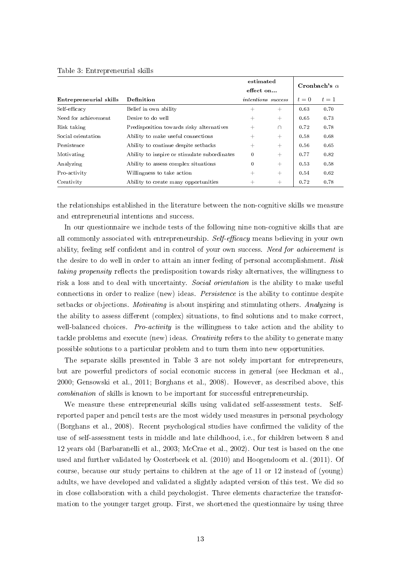|                        |                                              | estimated                 |        |       |                     |
|------------------------|----------------------------------------------|---------------------------|--------|-------|---------------------|
|                        |                                              | effect on                 |        |       | Cronbach's $\alpha$ |
| Entrepreneurial skills | Definition                                   | <i>intentions</i> success |        | $t=0$ | $t=1$               |
| Self-efficacy          | Belief in own ability                        | $^{+}$                    | $^{+}$ | 0.63  | 0.70                |
| Need for achievement   | Desire to do well                            | $^{+}$                    | $^{+}$ | 0.65  | 0.73                |
| Risk taking            | Predisposition towards risky alternatives    | $^{+}$                    | ∩      | 0.72  | 0.78                |
| Social orientation     | Ability to make useful connections           | $^{+}$                    | $^{+}$ | 0.58  | 0.68                |
| Persistence            | Ability to continue despite set backs        | $^{+}$                    | $+$    | 0.56  | 0.65                |
| Motivating             | Ability to inspire or stimulate subordinates | $\mathbf{0}$              | $^{+}$ | 0.77  | 0.82                |
| Analyzing              | Ability to assess complex situations         | $\mathbf{0}$              | $^{+}$ | 0.53  | 0.58                |
| Pro-activity           | Willingness to take action                   | $^{+}$                    | $^{+}$ | 0.54  | 0.62                |
| Creativity             | Ability to create many opportunities         | $^+$                      | $^+$   | 0.72  | 0.78                |

#### Table 3: Entrepreneurial skills

the relationships established in the literature between the non-cognitive skills we measure and entrepreneurial intentions and success.

In our questionnaire we include tests of the following nine non-cognitive skills that are all commonly associated with entrepreneurship. Self-efficacy means believing in your own ability, feeling self confident and in control of your own success. Need for achievement is the desire to do well in order to attain an inner feeling of personal accomplishment. Risk taking propensity reflects the predisposition towards risky alternatives, the willingness to risk a loss and to deal with uncertainty. Social orientation is the ability to make useful connections in order to realize (new) ideas. Persistence is the ability to continue despite setbacks or objections. *Motivating* is about inspiring and stimulating others. Analyzing is the ability to assess different (complex) situations, to find solutions and to make correct, well-balanced choices. Pro-activity is the willingness to take action and the ability to tackle problems and execute (new) ideas. Creativity refers to the ability to generate many possible solutions to a particular problem and to turn them into new opportunities.

The separate skills presented in Table 3 are not solely important for entrepreneurs, but are powerful predictors of social economic success in general (see Heckman et al. 2000; Gensowski et al., 2011; Borghans et al., 2008). However, as described above, this combination of skills is known to be important for successful entrepreneurship.

We measure these entrepreneurial skills using validated self-assessment tests. Selfreported paper and pencil tests are the most widely used measures in personal psychology (Borghans et al.,  $2008$ ). Recent psychological studies have confirmed the validity of the use of self-assessment tests in middle and late childhood, i.e., for children between 8 and 12 years old (Barbaranelli et al., 2003; McCrae et al., 2002). Our test is based on the one used and further validated by Oosterbeek et al. (2010) and Hoogendoorn et al. (2011). Of course, because our study pertains to children at the age of 11 or 12 instead of (young) adults, we have developed and validated a slightly adapted version of this test. We did so in close collaboration with a child psychologist. Three elements characterize the transformation to the younger target group. First, we shortened the questionnaire by using three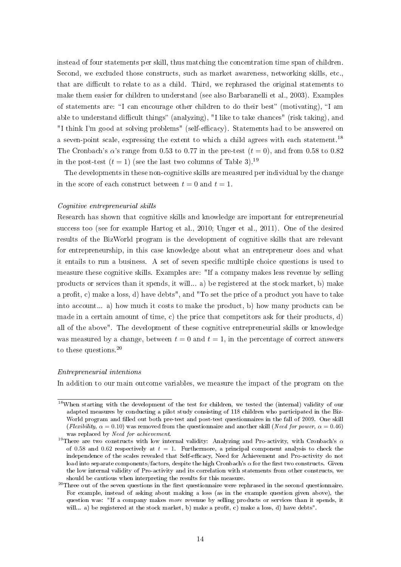instead of four statements per skill, thus matching the concentration time span of children. Second, we excluded those constructs, such as market awareness, networking skills, etc., that are difficult to relate to as a child. Third, we rephrased the original statements to make them easier for children to understand (see also Barbaranelli et al., 2003). Examples of statements are: "I can encourage other children to do their best" (motivating), "I am able to understand difficult things" (analyzing), "I like to take chances" (risk taking), and "I think I'm good at solving problems" (self-efficacy). Statements had to be answered on a seven-point scale, expressing the extent to which a child agrees with each statement.<sup>18</sup> The Cronbach's  $\alpha$ 's range from 0.53 to 0.77 in the pre-test  $(t = 0)$ , and from 0.58 to 0.82 in the post-test  $(t = 1)$  (see the last two columns of Table 3).<sup>19</sup>

The developments in these non-cognitive skills are measured per individual by the change in the score of each construct between  $t = 0$  and  $t = 1$ .

#### Cognitive entrepreneurial skills

Research has shown that cognitive skills and knowledge are important for entrepreneurial success too (see for example Hartog et al., 2010; Unger et al., 2011). One of the desired results of the BizWorld program is the development of cognitive skills that are relevant for entrepreneurship, in this case knowledge about what an entrepreneur does and what it entails to run a business. A set of seven specific multiple choice questions is used to measure these cognitive skills. Examples are: "If a company makes less revenue by selling products or services than it spends, it will... a) be registered at the stock market, b) make a profit, c) make a loss, d) have debts", and "To set the price of a product you have to take into account... a) how much it costs to make the product, b) how many products can be made in a certain amount of time, c) the price that competitors ask for their products, d) all of the above". The development of these cognitive entrepreneurial skills or knowledge was measured by a change, between  $t = 0$  and  $t = 1$ , in the percentage of correct answers to these questions.<sup>20</sup>

#### Entrepreneurial intentions

In addition to our main outcome variables, we measure the impact of the program on the

<sup>&</sup>lt;sup>18</sup>When starting with the development of the test for children, we tested the (internal) validity of our adapted measures by conducting a pilot study consisting of 118 children who participated in the Biz-World program and filled out both pre-test and post-test questionnaires in the fall of 2009. One skill (Flexibility,  $\alpha = 0.10$ ) was removed from the questionnaire and another skill (Need for power,  $\alpha = 0.46$ ) was replaced by Need for achievement.

<sup>&</sup>lt;sup>19</sup>There are two constructs with low internal validity: Analyzing and Pro-activity, with Cronbach's  $\alpha$ of 0.58 and 0.62 respectively at  $t = 1$ . Furthermore, a principal component analysis to check the independence of the scales revealed that Self-efficacy, Need for Achievement and Pro-activity do not load into separate components/factors, despite the high Cronbach's  $\alpha$  for the first two constructs. Given the low internal validity of Pro-activity and its correlation with statements from other constructs, we should be cautious when interpreting the results for this measure.

 $^{20}$ Three out of the seven questions in the first questionnaire were rephrased in the second questionnaire. For example, instead of asking about making a loss (as in the example question given above), the question was: "If a company makes more revenue by selling products or services than it spends, it will... a) be registered at the stock market, b) make a profit, c) make a loss, d) have debts".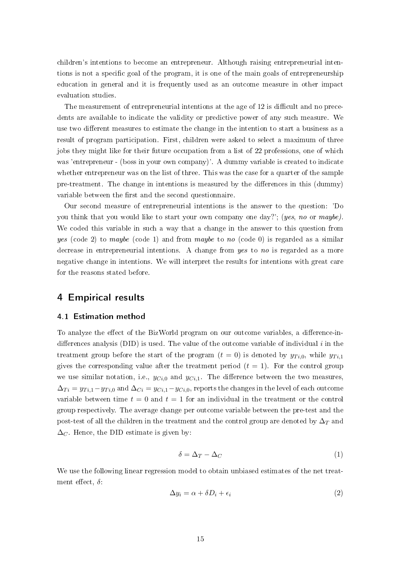children's intentions to become an entrepreneur. Although raising entrepreneurial intentions is not a specific goal of the program, it is one of the main goals of entrepreneurship education in general and it is frequently used as an outcome measure in other impact evaluation studies.

The measurement of entrepreneurial intentions at the age of 12 is difficult and no precedents are available to indicate the validity or predictive power of any such measure. We use two different measures to estimate the change in the intention to start a business as a result of program participation. First, children were asked to select a maximum of three jobs they might like for their future occupation from a list of 22 professions, one of which was 'entrepreneur - (boss in your own company)'. A dummy variable is created to indicate whether entrepreneur was on the list of three. This was the case for a quarter of the sample pre-treatment. The change in intentions is measured by the differences in this (dummy) variable between the first and the second questionnaire.

Our second measure of entrepreneurial intentions is the answer to the question: 'Do you think that you would like to start your own company one day?'; (yes, no or maybe). We coded this variable in such a way that a change in the answer to this question from yes (code 2) to maybe (code 1) and from maybe to no (code 0) is regarded as a similar decrease in entrepreneurial intentions. A change from yes to no is regarded as a more negative change in intentions. We will interpret the results for intentions with great care for the reasons stated before.

## 4 Empirical results

#### 4.1 Estimation method

To analyze the effect of the BizWorld program on our outcome variables, a difference-indifferences analysis (DID) is used. The value of the outcome variable of individual  $i$  in the treatment group before the start of the program  $(t = 0)$  is denoted by  $y_{Ti,0}$ , while  $y_{Ti,1}$ gives the corresponding value after the treatment period  $(t = 1)$ . For the control group we use similar notation, i.e.,  $y_{Ci,0}$  and  $y_{Ci,1}$ . The difference between the two measures,  $\Delta_{Ti} = y_{Ti,1} - y_{Ti,0}$  and  $\Delta_{Ci} = y_{Ci,1} - y_{Ci,0}$ , reports the changes in the level of each outcome variable between time  $t = 0$  and  $t = 1$  for an individual in the treatment or the control group respectively. The average change per outcome variable between the pre-test and the post-test of all the children in the treatment and the control group are denoted by  $\Delta_T$  and  $\Delta_C$ . Hence, the DID estimate is given by:

$$
\delta = \Delta_T - \Delta_C \tag{1}
$$

We use the following linear regression model to obtain unbiased estimates of the net treatment effect,  $\delta$ :

$$
\Delta y_i = \alpha + \delta D_i + \epsilon_i \tag{2}
$$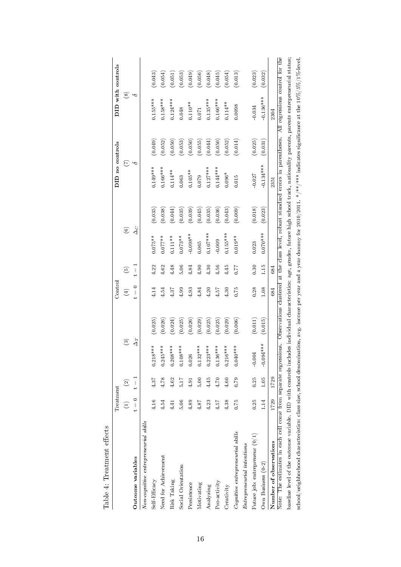|                                                                                                                                                                                            | Treatment       |                 |                              |         | Contro      |      |               |         | DID no controls |         |               | DID with controls |
|--------------------------------------------------------------------------------------------------------------------------------------------------------------------------------------------|-----------------|-----------------|------------------------------|---------|-------------|------|---------------|---------|-----------------|---------|---------------|-------------------|
|                                                                                                                                                                                            | $\widehat{\Xi}$ | $\widehat{c}$   | $\widehat{\mathbf{e}}$       |         | $\bigoplus$ | ම    | $\widehat{E}$ |         | E               |         | $\circledast$ |                   |
| Outcome variables                                                                                                                                                                          | $t = 0$         | $\frac{11}{11}$ | $\Delta_T$                   |         | $t = 0$     | <br> | $\Delta_C$    |         | $\sim$          |         | $\sim$        |                   |
| Non-cognitive entrepreneurial skills                                                                                                                                                       |                 |                 |                              |         |             |      |               |         |                 |         |               |                   |
| Self Efficacy                                                                                                                                                                              | 4.16            | 4.37            | $18***$<br>$\overline{0.21}$ | (0.025) | 4.14        | 4.22 | $0.075***$    | (0.035) | $0.149***$      | (0.049) | $0.155***$    | (0.043)           |
| Need for Achievement                                                                                                                                                                       | 4.54            | 4.78            | 45***<br>0.24                | (0.026) | 4.54        | 4.62 | $0.077***$    | (0.038) | $0.166***$      | (0.052) | $0.158***$    | (0.054)           |
| Risk Taking                                                                                                                                                                                | 4.41            | 4.62            | $0.208***$                   | (0.024) | 4.37        | 4.48 | $0.111***$    | (0.044) | $0.114**$       | (0.050) | $0.124***$    | (0.051)           |
| Social Orientation                                                                                                                                                                         | 5.06            | 5.17            | $0.108***$                   | (0.025) | 4.99        | 5.06 | $0.073**$     | (0.035) | 0.063           | (0.053) | 0.048         | (0.053)           |
| Persistence                                                                                                                                                                                | 4.89            | 4.91            | 0.026                        | (0.026) | 4.93        | 4.84 | $-0.098**$    | (0.039) | $0.105**$       | (0.050) | $0.110**$     | (0.049)           |
| Motivating                                                                                                                                                                                 | 4.87            | 5.00            | $0.132***$                   | (0.029) | 4.84        | 4.90 | 0.065         | (0.045) | 0.079           | (0.055) | 0.071         | (0.056)           |
| Analyzing                                                                                                                                                                                  | 4.23            | 4.45            | $0.223***$                   | (0.025) | 4.20        | 4.30 | $0.107***$    | (0.035) | $0.127***$      | (0.044) | $0.135***$    | (0.048)           |
| Pro-activity                                                                                                                                                                               | 4.57            | 4.70            | $0.136***$                   | (0.025) | 4.57        | 4.56 | $-0.009$      | (0.036) | $0.144***$      | (0.050) | $0.166***$    | (0.045)           |
| Creativity                                                                                                                                                                                 | 4.38            | 4.60            | $0.216***$                   | (0.029) | 4.30        | 4.45 | $0.155***$    | (0.043) | $0.096*$        | (0.052) | $0.114**$     | (0.054)           |
| Cognitive entrepreneurial skills                                                                                                                                                           | 0.75            | 0.79            | $0.040***$                   | (0.006) | 0.75        | 77.0 | $0.019**$     | (0.009) | 0.015           | (0.014) | 0.0098        | (0.013)           |
| $Ent$ repreneurial intentions                                                                                                                                                              |                 |                 |                              |         |             |      |               |         |                 |         |               |                   |
| Future job: entrepreneur $(0/1)$                                                                                                                                                           | 0.25            | 0.25            | $-0.004$                     | (0.011) | 0.28        | 0.30 | 0.023         | (0.018) | $-0.027$        | (0.025) | $-0.034$      | (0.023)           |
| Own Business $(0-2)$                                                                                                                                                                       | 1.14            | 1.05            | $-0.094***$                  | (0.015) | 1.08        | 1.15 | $0.070***$    | (0.023) | $0.134***$      | (0.031) | $0.136***$    | (0.032)           |
| Number of observations                                                                                                                                                                     | 1729            | 1729            |                              |         | 684         | 684  |               |         | 2351            |         | 2304          |                   |
| Note: The estimates in each cell come from separate regressions. Observations clustered at the class level, robust standard errors in parentheses. All regressions control for the         |                 |                 |                              |         |             |      |               |         |                 |         |               |                   |
| baseline level of the outcome variable. DID with controls includes individual characteristics: age, gender, future high school track, nationality parents, parents entrepreneurial status; |                 |                 |                              |         |             |      |               |         |                 |         |               |                   |
| school/neighborhood characteristics: class size, school denomination, avg. income per year and a year dummy for 2010/2011. */**/**/*aidicates significance at the $10\%/5\%/1\%$ -level.   |                 |                 |                              |         |             |      |               |         |                 |         |               |                   |

Table 4: Treatment effects Table 4: Treatment effects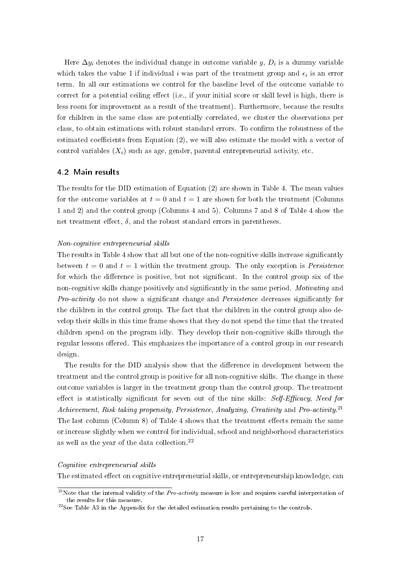Here  $\Delta y_i$  denotes the individual change in outcome variable  $y, D_i$  is a dummy variable which takes the value 1 if individual i was part of the treatment group and  $\epsilon_i$  is an error term. In all our estimations we control for the baseline level of the outcome variable to correct for a potential ceiling effect (i.e., if your initial score or skill level is high, there is less room for improvement as a result of the treatment). Furthermore, because the results for children in the same class are potentially correlated, we cluster the observations per class, to obtain estimations with robust standard errors. To confirm the robustness of the estimated coefficients from Equation  $(2)$ , we will also estimate the model with a vector of control variables  $(X_i)$  such as age, gender, parental entrepreneurial activity, etc.

#### 4.2 Main results

The results for the DID estimation of Equation (2) are shown in Table 4. The mean values for the outcome variables at  $t = 0$  and  $t = 1$  are shown for both the treatment (Columns 1 and 2) and the control group (Columns 4 and 5). Columns 7 and 8 of Table 4 show the net treatment effect,  $\delta$ , and the robust standard errors in parentheses.

#### Non-cognitive entrepreneurial skills

The results in Table 4 show that all but one of the non-cognitive skills increase significantly between  $t = 0$  and  $t = 1$  within the treatment group. The only exception is *Persistence* for which the difference is positive, but not significant. In the control group six of the non-cognitive skills change positively and significantly in the same period. Motivating and Pro-activity do not show a significant change and Persistence decreases significantly for the children in the control group. The fact that the children in the control group also develop their skills in this time frame shows that they do not spend the time that the treated children spend on the program idly. They develop their non-cognitive skills through the regular lessons offered. This emphasizes the importance of a control group in our research design.

The results for the DID analysis show that the difference in development between the treatment and the control group is positive for all non-cognitive skills. The change in these outcome variables is larger in the treatment group than the control group. The treatment effect is statistically significant for seven out of the nine skills:  $Self-Efficacy$ , Need for Achievement, Risk taking propensity, Persistence, Analyzing, Creativity and Pro-activity.<sup>21</sup> The last column (Column 8) of Table 4 shows that the treatment effects remain the same or increase slightly when we control for individual, school and neighborhood characteristics as well as the year of the data collection.<sup>22</sup>

#### Cognitive entrepreneurial skills

The estimated effect on cognitive entrepreneurial skills, or entrepreneurship knowledge, can

<sup>&</sup>lt;sup>21</sup>Note that the internal validity of the *Pro-activity* measure is low and requires careful interpretation of the results for this measure.

<sup>22</sup>See Table A3 in the Appendix for the detailed estimation results pertaining to the controls.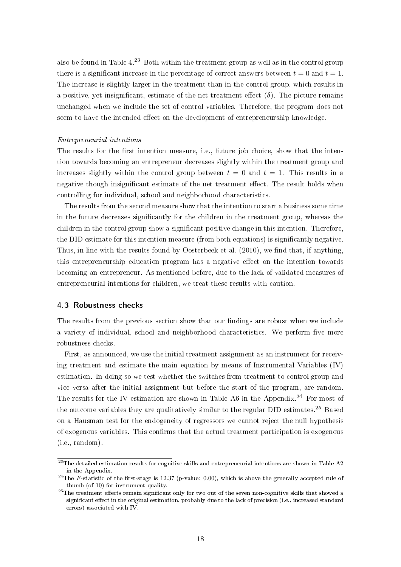also be found in Table  $4^{23}$  Both within the treatment group as well as in the control group there is a significant increase in the percentage of correct answers between  $t = 0$  and  $t = 1$ . The increase is slightly larger in the treatment than in the control group, which results in a positive, yet insignificant, estimate of the net treatment effect  $(\delta)$ . The picture remains unchanged when we include the set of control variables. Therefore, the program does not seem to have the intended effect on the development of entrepreneurship knowledge.

#### Entrepreneurial intentions

The results for the first intention measure, i.e., future job choice, show that the intention towards becoming an entrepreneur decreases slightly within the treatment group and increases slightly within the control group between  $t = 0$  and  $t = 1$ . This results in a negative though insignificant estimate of the net treatment effect. The result holds when controlling for individual, school and neighborhood characteristics.

The results from the second measure show that the intention to start a business some time in the future decreases signicantly for the children in the treatment group, whereas the children in the control group show a significant positive change in this intention. Therefore, the DID estimate for this intention measure (from both equations) is signicantly negative. Thus, in line with the results found by Oosterbeek et al.  $(2010)$ , we find that, if anything, this entrepreneurship education program has a negative effect on the intention towards becoming an entrepreneur. As mentioned before, due to the lack of validated measures of entrepreneurial intentions for children, we treat these results with caution.

#### 4.3 Robustness checks

The results from the previous section show that our findings are robust when we include a variety of individual, school and neighborhood characteristics. We perform five more robustness checks.

First, as announced, we use the initial treatment assignment as an instrument for receiving treatment and estimate the main equation by means of Instrumental Variables (IV) estimation. In doing so we test whether the switches from treatment to control group and vice versa after the initial assignment but before the start of the program, are random. The results for the IV estimation are shown in Table A6 in the Appendix.<sup>24</sup> For most of the outcome variables they are qualitatively similar to the regular DID estimates.<sup>25</sup> Based on a Hausman test for the endogeneity of regressors we cannot reject the null hypothesis of exogenous variables. This confirms that the actual treatment participation is exogenous (i.e., random).

 $^{23}$ The detailed estimation results for cognitive skills and entrepreneurial intentions are shown in Table A2 in the Appendix.

<sup>&</sup>lt;sup>24</sup>The F-statistic of the first-stage is 12.37 (p-value: 0.00), which is above the generally accepted rule of thumb (of 10) for instrument quality.

<sup>&</sup>lt;sup>25</sup>The treatment effects remain significant only for two out of the seven non-cognitive skills that showed a significant effect in the original estimation, probably due to the lack of precision (i.e., increased standard errors) associated with IV.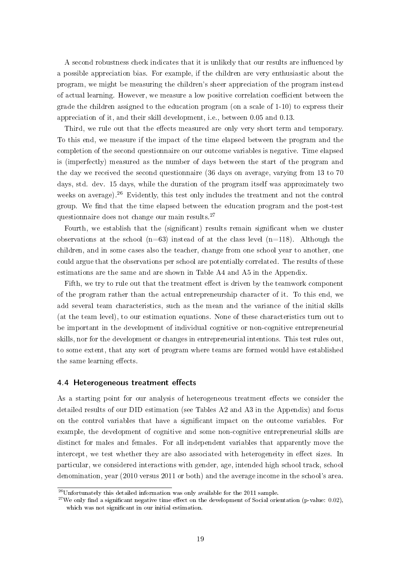A second robustness check indicates that it is unlikely that our results are influenced by a possible appreciation bias. For example, if the children are very enthusiastic about the program, we might be measuring the children's sheer appreciation of the program instead of actual learning. However, we measure a low positive correlation coefficient between the grade the children assigned to the education program (on a scale of 1-10) to express their appreciation of it, and their skill development, i.e., between 0.05 and 0.13.

Third, we rule out that the effects measured are only very short term and temporary. To this end, we measure if the impact of the time elapsed between the program and the completion of the second questionnaire on our outcome variables is negative. Time elapsed is (imperfectly) measured as the number of days between the start of the program and the day we received the second questionnaire (36 days on average, varying from 13 to 70 days, std. dev. 15 days, while the duration of the program itself was approximately two weeks on average).<sup>26</sup> Evidently, this test only includes the treatment and not the control group. We find that the time elapsed between the education program and the post-test questionnaire does not change our main results.<sup>27</sup>

Fourth, we establish that the (significant) results remain significant when we cluster observations at the school  $(n=63)$  instead of at the class level  $(n=118)$ . Although the children, and in some cases also the teacher, change from one school year to another, one could argue that the observations per school are potentially correlated. The results of these estimations are the same and are shown in Table A4 and A5 in the Appendix.

Fifth, we try to rule out that the treatment effect is driven by the teamwork component of the program rather than the actual entrepreneurship character of it. To this end, we add several team characteristics, such as the mean and the variance of the initial skills (at the team level), to our estimation equations. None of these characteristics turn out to be important in the development of individual cognitive or non-cognitive entrepreneurial skills, nor for the development or changes in entrepreneurial intentions. This test rules out, to some extent, that any sort of program where teams are formed would have established the same learning effects.

#### 4.4 Heterogeneous treatment effects

As a starting point for our analysis of heterogeneous treatment effects we consider the detailed results of our DID estimation (see Tables A2 and A3 in the Appendix) and focus on the control variables that have a signicant impact on the outcome variables. For example, the development of cognitive and some non-cognitive entrepreneurial skills are distinct for males and females. For all independent variables that apparently move the intercept, we test whether they are also associated with heterogeneity in effect sizes. In particular, we considered interactions with gender, age, intended high school track, school denomination, year (2010 versus 2011 or both) and the average income in the school's area.

 $26$ Unfortunately this detailed information was only available for the 2011 sample.

<sup>&</sup>lt;sup>27</sup>We only find a significant negative time effect on the development of Social orientation (p-value: 0.02), which was not significant in our initial estimation.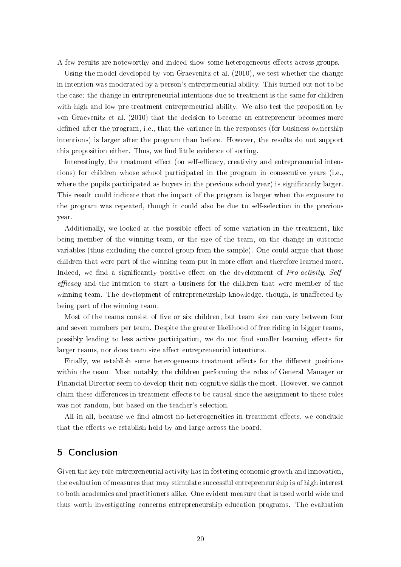A few results are noteworthy and indeed show some heterogeneous effects across groups.

Using the model developed by von Graevenitz et al. (2010), we test whether the change in intention was moderated by a person's entrepreneurial ability. This turned out not to be the case: the change in entrepreneurial intentions due to treatment is the same for children with high and low pre-treatment entrepreneurial ability. We also test the proposition by von Graevenitz et al. (2010) that the decision to become an entrepreneur becomes more defined after the program, i.e., that the variance in the responses (for business ownership intentions) is larger after the program than before. However, the results do not support this proposition either. Thus, we find little evidence of sorting.

Interestingly, the treatment effect (on self-efficacy, creativity and entrepreneurial intentions) for children whose school participated in the program in consecutive years (i.e., where the pupils participated as buyers in the previous school year) is significantly larger. This result could indicate that the impact of the program is larger when the exposure to the program was repeated, though it could also be due to self-selection in the previous year.

Additionally, we looked at the possible effect of some variation in the treatment, like being member of the winning team, or the size of the team, on the change in outcome variables (thus excluding the control group from the sample). One could argue that those children that were part of the winning team put in more effort and therefore learned more. Indeed, we find a significantly positive effect on the development of Pro-activity, Self $efficacy$  and the intention to start a business for the children that were member of the winning team. The development of entrepreneurship knowledge, though, is unaffected by being part of the winning team.

Most of the teams consist of five or six children, but team size can vary between four and seven members per team. Despite the greater likelihood of free riding in bigger teams, possibly leading to less active participation, we do not find smaller learning effects for larger teams, nor does team size affect entrepreneurial intentions.

Finally, we establish some heterogeneous treatment effects for the different positions within the team. Most notably, the children performing the roles of General Manager or Financial Director seem to develop their non-cognitive skills the most. However, we cannot claim these differences in treatment effects to be causal since the assignment to these roles was not random, but based on the teacher's selection.

All in all, because we find almost no heterogeneities in treatment effects, we conclude that the effects we establish hold by and large across the board.

## 5 Conclusion

Given the key role entrepreneurial activity has in fostering economic growth and innovation the evaluation of measures that may stimulate successful entrepreneurship is of high interest to both academics and practitioners alike. One evident measure that is used world wide and thus worth investigating concerns entrepreneurship education programs. The evaluation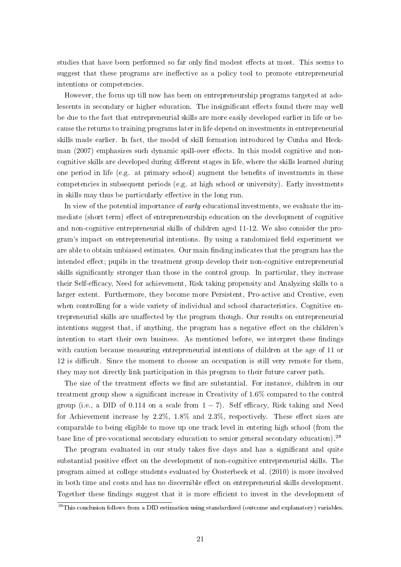studies that have been performed so far only find modest effects at most. This seems to suggest that these programs are ineffective as a policy tool to promote entrepreneurial intentions or competencies.

However, the focus up till now has been on entrepreneurship programs targeted at adolescents in secondary or higher education. The insignificant effects found there may well be due to the fact that entrepreneurial skills are more easily developed earlier in life or because the returns to training programs later in life depend on investments in entrepreneurial skills made earlier. In fact, the model of skill formation introduced by Cunha and Heckman (2007) emphasizes such dynamic spill-over effects. In this model cognitive and noncognitive skills are developed during different stages in life, where the skills learned during one period in life (e.g. at primary school) augment the benefits of investments in these competencies in subsequent periods (e.g. at high school or university). Early investments in skills may thus be particularly effective in the long run.

In view of the potential importance of *early* educational investments, we evaluate the immediate (short term) effect of entrepreneurship education on the development of cognitive and non-cognitive entrepreneurial skills of children aged 11-12. We also consider the program's impact on entrepreneurial intentions. By using a randomized field experiment we are able to obtain unbiased estimates. Our main finding indicates that the program has the intended effect; pupils in the treatment group develop their non-cognitive entrepreneurial skills signicantly stronger than those in the control group. In particular, they increase their Self-efficacy, Need for achievement, Risk taking propensity and Analyzing skills to a larger extent. Furthermore, they become more Persistent, Pro-active and Creative, even when controlling for a wide variety of individual and school characteristics. Cognitive entrepreneurial skills are unaffected by the program though. Our results on entrepreneurial intentions suggest that, if anything, the program has a negative effect on the children's intention to start their own business. As mentioned before, we interpret these findings with caution because measuring entrepreneurial intentions of children at the age of 11 or 12 is difficult. Since the moment to choose an occupation is still very remote for them. they may not directly link participation in this program to their future career path.

The size of the treatment effects we find are substantial. For instance, children in our treatment group show a signicant increase in Creativity of 1.6% compared to the control group (i.e., a DID of 0.114 on a scale from  $1 - 7$ ). Self efficacy, Risk taking and Need for Achievement increase by  $2.2\%$ ,  $1.8\%$  and  $2.3\%$ , respectively. These effect sizes are comparable to being eligible to move up one track level in entering high school (from the base line of pre-vocational secondary education to senior general secondary education).<sup>28</sup>

The program evaluated in our study takes five days and has a significant and quite substantial positive effect on the development of non-cognitive entrepreneurial skills. The program aimed at college students evaluated by Oosterbeek et al. (2010) is more involved in both time and costs and has no discernible effect on entrepreneurial skills development. Together these findings suggest that it is more efficient to invest in the development of

<sup>&</sup>lt;sup>28</sup>This conclusion follows from a DID estimation using standardized (outcome and explanatory) variables.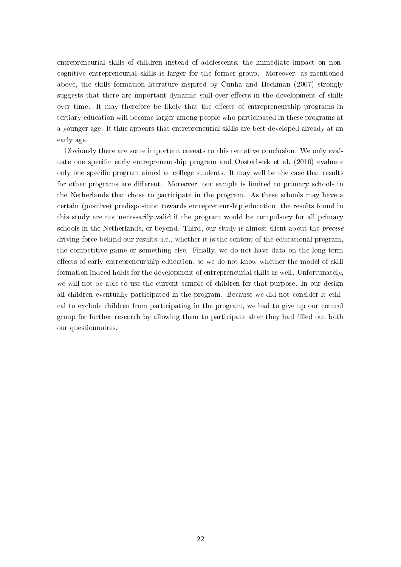entrepreneurial skills of children instead of adolescents; the immediate impact on noncognitive entrepreneurial skills is larger for the former group. Moreover, as mentioned above, the skills formation literature inspired by Cunha and Heckman (2007) strongly suggests that there are important dynamic spill-over effects in the development of skills over time. It may therefore be likely that the effects of entrepreneurship programs in tertiary education will become larger among people who participated in these programs at a younger age. It thus appears that entrepreneurial skills are best developed already at an early age.

Obviously there are some important caveats to this tentative conclusion. We only evaluate one specific early entrepreneurship program and Oosterbeek et al. (2010) evaluate only one specific program aimed at college students. It may well be the case that results for other programs are different. Moreover, our sample is limited to primary schools in the Netherlands that chose to participate in the program. As these schools may have a certain (positive) predisposition towards entrepreneurship education, the results found in this study are not necessarily valid if the program would be compulsory for all primary schools in the Netherlands, or beyond. Third, our study is almost silent about the precise driving force behind our results, i.e., whether it is the content of the educational program, the competitive game or something else. Finally, we do not have data on the long term effects of early entrepreneurship education, so we do not know whether the model of skill formation indeed holds for the development of entrepreneurial skills as well. Unfortunately, we will not be able to use the current sample of children for that purpose. In our design all children eventually participated in the program. Because we did not consider it ethical to exclude children from participating in the program, we had to give up our control group for further research by allowing them to participate after they had filled out both our questionnaires.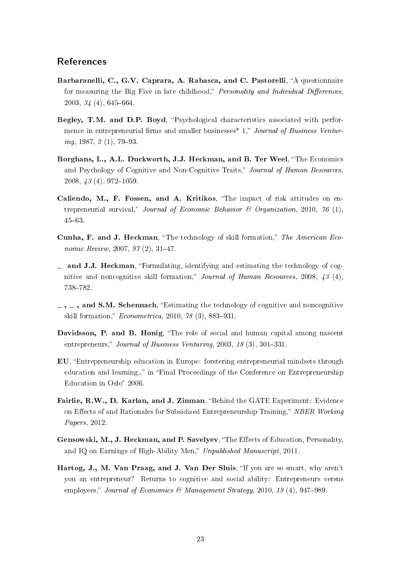## References

- Barbaranelli, C., G.V. Caprara, A. Rabasca, and C. Pastorelli, "A questionnaire for measuring the Big Five in late childhood," Personality and Individual Differences,  $2003, 34(4), 645-664.$
- Begley, T.M. and D.P. Boyd, "Psychological characteristics associated with performence in entrepreneurial firms and smaller businesses<sup>\*</sup> 1," Journal of Business Ventur $ing, 1987, 2(1), 79-93.$
- Borghans, L., A.L. Duckworth, J.J. Heckman, and B. Ter Weel, "The Economics and Psychology of Cognitive and Non-Cognitive Traits," Journal of Human Resources,  $2008, 43(4), 972-1059.$
- Caliendo, M., F. Fossen, and A. Kritikos, "The impact of risk attitudes on entrepreneurial survival," Journal of Economic Behavior  $\mathscr B$  Organization, 2010, 76 (1), 4563.
- Cunha, F. and J. Heckman, "The technology of skill formation," The American Economic Review,  $2007, 97(2), 31-47$ .
- $\equiv$  and J.J. Heckman, "Formulating, identifying and estimating the technology of cognitive and noncognitive skill formation," Journal of Human Resources, 2008,  $43$  (4), 738-782.
- $\mu$ ,  $\mu$ , and S.M. Schennach, "Estimating the technology of cognitive and noncognitive skill formation,"  $Econometrica$ , 2010, 78 (3), 883-931.
- Davidsson, P. and B. Honig, "The role of social and human capital among nascent entrepreneurs," Journal of Business Venturing, 2003, 18  $(3)$ , 301-331.
- EU, Entrepreneurship education in Europe: forstering entrepreneurial mindsets through education and learning.." in "Final Proceedings of the Conference on Entrepreneurship Education in Oslo" 2006.
- Fairlie, R.W., D. Karlan, and J. Zinman, "Behind the GATE Experiment: Evidence on Effects of and Rationales for Subsidized Entrepreneurship Training," NBER Working Papers, 2012.
- Gensowski, M., J. Heckman, and P. Savelyev. "The Effects of Education, Personality, and IQ on Earnings of High-Ability Men," Unpublished Manuscript, 2011.
- Hartog, J., M. Van Praag, and J. Van Der Sluis, "If you are so smart, why aren't you an entrepreneur? Returns to cognitive and social ability: Entrepreneurs versus employees," Journal of Economics & Management Strategy, 2010, 19 (4), 947–989.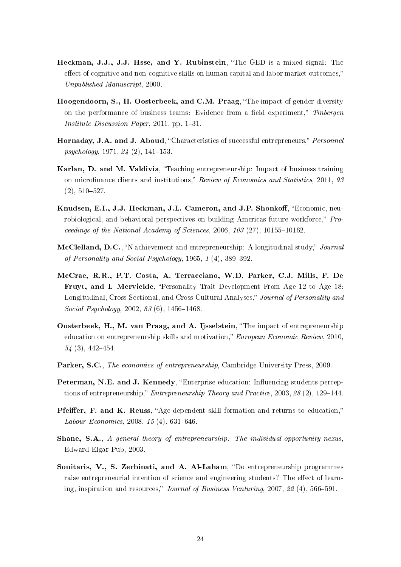- Heckman, J.J., J.J. Hsse, and Y. Rubinstein, "The GED is a mixed signal: The effect of cognitive and non-cognitive skills on human capital and labor market outcomes," Unpublished Manuscript, 2000.
- Hoogendoorn, S., H. Oosterbeek, and C.M. Praag, "The impact of gender diversity on the performance of business teams: Evidence from a field experiment," Tinbergen *Institute Discussion Paper*, 2011, pp.  $1-31$ .
- Hornaday, J.A. and J. Aboud, "Characteristics of successful entrepreneurs," Personnel  $psychology, 1971, 24 (2), 141-153.$
- Karlan, D. and M. Valdivia, "Teaching entrepreneurship: Impact of business training on microfinance clients and institutions," Review of Economics and Statistics, 2011, 93  $(2), 510-527.$
- Knudsen, E.I., J.J. Heckman, J.L. Cameron, and J.P. Shonkoff, "Economic, neurobiological, and behavioral perspectives on building Americas future workforce," Proceedings of the National Academy of Sciences,  $2006, 103 (27), 10155-10162$ .
- McClelland, D.C., "N achievement and entrepreneurship: A longitudinal study," Journal of Personality and Social Psychology,  $1965, 1(4), 389-392$ .
- McCrae, R.R., P.T. Costa, A. Terracciano, W.D. Parker, C.J. Mills, F. De Fruyt, and I. Mervielde, "Personality Trait Development From Age 12 to Age 18: Longitudinal, Cross-Sectional, and Cross-Cultural Analyses," Journal of Personality and Social Psychology,  $2002, 83$  (6),  $1456-1468$ .
- Oosterbeek, H., M. van Praag, and A. Ijsselstein, The impact of entrepreneurship education on entrepreneurship skills and motivation," European Economic Review, 2010,  $54(3), 442 - 454.$
- Parker, S.C., The economics of entrepreneurship, Cambridge University Press, 2009.
- Peterman, N.E. and J. Kennedy, "Enterprise education: Influencing students perceptions of entrepreneurship," Entrepreneurship Theory and Practice, 2003, 28 (2), 129-144.
- Pfeiffer, F. and K. Reuss, "Age-dependent skill formation and returns to education," Labour Economics, 2008, 15 $(4)$ , 631-646.
- Shane, S.A., A general theory of entrepreneurship: The individual-opportunity nexus, Edward Elgar Pub, 2003.
- Souitaris, V., S. Zerbinati, and A. Al-Laham, "Do entrepreneurship programmes raise entrepreneurial intention of science and engineering students? The effect of learning, inspiration and resources," Journal of Business Venturing, 2007, 22 (4), 566–591.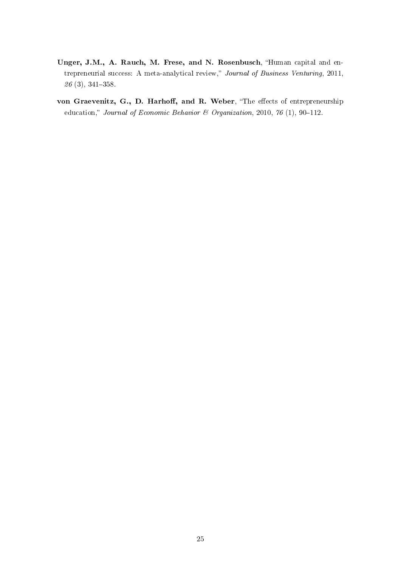- Unger, J.M., A. Rauch, M. Frese, and N. Rosenbusch, "Human capital and entrepreneurial success: A meta-analytical review," Journal of Business Venturing, 2011,  $26(3), 341-358.$
- von Graevenitz, G., D. Harhoff, and R. Weber, "The effects of entrepreneurship education," Journal of Economic Behavior & Organization, 2010, 76 (1), 90-112.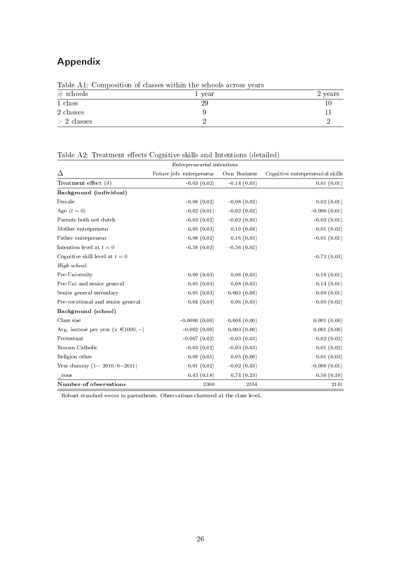## Appendix

|               | TWOIC III, COMMOGIVION OF CHANGED HIGHING WILD DONE WOLDER YOULD |         |
|---------------|------------------------------------------------------------------|---------|
| $\#$ schools  | 1 year                                                           | 2 years |
| 1 class       | 29                                                               |         |
| 2 classes     |                                                                  |         |
| $> 2$ classes |                                                                  |         |

Table A1: Composition of classes within the schools across years

Table A2: Treatment effects Cognitive skills and Intentions (detailed)

|                                        | <i>Entrepreneurial intentions</i> |               |                                  |
|----------------------------------------|-----------------------------------|---------------|----------------------------------|
| Δ                                      | Future job: entrepreneur          | Own Business  | Cognitive entrepreneurial skills |
| Treatment effect $(\delta)$            | $-0.03(0.02)$                     | $-0.14(0.03)$ | 0.01(0.01)                       |
| Background (individual)                |                                   |               |                                  |
| Female                                 | $-0.08(0.02)$                     | $-0.08(0.02)$ | 0.02(0.01)                       |
| Age $(t=0)$                            | $-0.02(0.01)$                     | $-0.02(0.02)$ | $-0.006(0.01)$                   |
| Parents both not dutch                 | $-0.03(0.02)$                     | $-0.02(0.03)$ | $-0.03(0.01)$                    |
| Mother entrepreneur                    | 0.05(0.03)                        | 0.10(0.04)    | 0.01(0.02)                       |
| Father entrepreneur                    | 0.08(0.02)                        | 0.16(0.03)    | $-0.01(0.01)$                    |
| Intention level at $t=0$               | $-0.58(0.02)$                     | $-0.56(0.02)$ |                                  |
| Cognitive skill level at $t=0$         |                                   |               | $-0.72(0.03)$                    |
| High school:                           |                                   |               |                                  |
| Pre-University                         | 0.09(0.03)                        | 0.06(0.03)    | 0.16(0.01)                       |
| Pre-Uni and senior general             | 0.05(0.03)                        | 0.08(0.03)    | 0.14(0.01)                       |
| Senior general secondary               | 0.05(0.03)                        | 0.002(0.04)   | 0.09(0.01)                       |
| Pre-vocational and senior general      | 0.04(0.03)                        | 0.06(0.03)    | 0.09(0.02)                       |
| Background (school)                    |                                   |               |                                  |
| Class size                             | $-0.0006(0.00)$                   | 0.004(0.00)   | 0.001(0.00)                      |
| Avg. income per year (x $\in$ 1000, -) | $-0.002(0.00)$                    | 0.003(0.00)   | 0.001(0.00)                      |
| Protestant                             | $-0.007(0.02)$                    | $-0.03(0.03)$ | 0.02(0.02)                       |
| Roman Catholic                         | $-0.03(0.02)$                     | $-0.03(0.03)$ | 0.01(0.02)                       |
| Religion other                         | 0.08(0.05)                        | 0.05(0.06)    | 0.01(0.03)                       |
| Year dummy $(1 = 2010/0 = 2011)$       | 0.01(0.02)                        | $-0.02(0.03)$ | $-0.006(0.01)$                   |
| cons                                   | 0.43(0.18)                        | 0.74(0.23)    | 0.50(0.10)                       |
| Number of observations                 | 2360                              | 2354          | 2141                             |

Robust standard errors in parentheses. Observations clustered at the class level.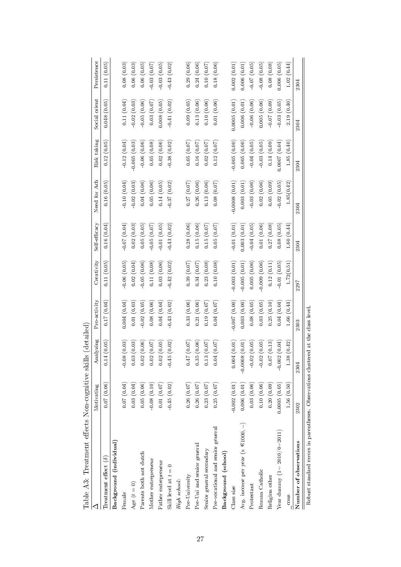| Table A3: Treatment effects Non-cognitive skill |                 | Is (detailed                    |                |                |               |                 |                |               |               |
|-------------------------------------------------|-----------------|---------------------------------|----------------|----------------|---------------|-----------------|----------------|---------------|---------------|
|                                                 | Motivating      | Analyzing                       | Pro-activity   | Creativity     | Self efficacy | Need for Ach    | Risk taking    | Social orient | Persistence   |
| Treatment effect $(\delta)$                     | 0.07(0.06)      | 0.14(0.05)                      | (0.17(0.04))   | 0.11(0.05)     | 0.16(0.04)    | 0.16(0.05)      | 0.12(0.05)     | 0.048(0.05)   | 0.11(0.05)    |
| Background (individual)                         |                 |                                 |                |                |               |                 |                |               |               |
| Female                                          | 0.07(0.04)      | $-0.08(0.03)$                   | 0.004(0.04)    | 0.06(0.05)     | $-0.07(0.04)$ | $-0.10(0.04)$   | $-0.12(0.04)$  | 0.11(0.04)    | 0.08(0.03)    |
| Age $(t = 0)$                                   | 0.03(0.04)      | 0.03(0.03)                      | 0.01(0.03)     | 0.02(0.04)     | 0.02(0.03)    | $-0.02(0.03)$   | 0.005(0.03)    | $-0.02(0.03)$ | 0.06(0.03)    |
| Parents both not dutch                          | 0.05(0.06)      | 0.02(0.06)                      | $-0.02(0.05)$  | $-0.05(0.06)$  | 0.05(0.05)    | 0.04(0.06)      | $-0.06(0.06)$  | $-0.05(0.06)$ | 0.06(0.05)    |
| Mother entrepreneur                             | $-0.08(0.10)$   | 0.02(0.07)                      | 0.08(0.06)     | 0.11(0.08)     | 0.05(0.07)    | 0.05(0.06)      | 0.05(0.08)     | 0.03(0.07)    | 0.03(0.07)    |
| Father entrepreneur                             | (0.01)(0.07)    | 0.02(0.05)                      | 0.04(0.04)     | 0.03(0.06)     | $-0.01(0.05)$ | 0.14(0.05)      | 0.02(0.06)     | 0.008(0.05)   | 0.03(0.05)    |
| Skill level at $t=0$                            | 0.45(0.02)      | $-0.45(0.02)$                   | 0.43(0.02)     | $-0.42(0.02)$  | $-0.43(0.02)$ | $-0.37(0.02)$   | $-0.38(0.02)$  | $-0.41(0.02)$ | $-0.43(0.02)$ |
| High school:                                    |                 |                                 |                |                |               |                 |                |               |               |
| Pre-University                                  | 0.26(0.07)      | (10.07)                         | 0.33(0.06)     | 0.39(0.07)     | 0.28(0.06)    | 0.27(0.07)      | 0.05(0.07)     | 0.09(0.05)    | 0.29(0.06)    |
| Pre-Uni and senior general                      | 0.26(0.07)      | 0.35(0.06)                      | 0.21(0.06)     | 0.34(0.07)     | 0.15(0.06)    | 0.26(0.06)      | 0.16(0.07)     | 0.13(0.06)    | 0.24(0.06)    |
| Senior general secondary                        | 0.23(0.07)      | 3(0.07)<br>$\overline{1}$       | 0.19(0.07)     | 0.23(0.08)     | 0.15(0.07)    | 0.13(0.06)      | 0.02(0.07)     | 0.10(0.06)    | 0.10(0.07)    |
| Pre-vocational and senior general               | 0.25(0.07)      | (0.04)(0.07)                    | 0.04(0.07)     | 0.10(0.08)     | 0.05(0.07)    | 0.08(0.07)      | 0.12(0.07)     | 0.01(0.06)    | 0.18(0.06)    |
| Background (school)                             |                 |                                 |                |                |               |                 |                |               |               |
| Class size                                      | $-0.002(0.01)$  | 0.004(0.01)                     | $-0.007(0.00)$ | $-0.003(0.01)$ | $-0.01(0.01)$ | $-0.0008(0.01)$ | $-0.005(0.00)$ | 0.0005(0.01)  | 0.002(0.01)   |
| Avg. income per year (x $\in$ 1000, -)          | 0.006(0.01)     | $-0.0008(0.01)$                 | 0.003(0.00)    | 0.005(0.01)    | 0.003(0.01)   | 0.003(0.01)     | 0.005(0.00)    | 0.006(0.01)   | 0.006(0.01)   |
| Protestant                                      | 0.03(0.06)      | $-0.02(0.05)$                   | 0.08(0.05)     | 0.005(0.06)    | $-0.04(0.05)$ | $-0.03(0.06)$   | $-0.04(0.05)$  | $-0.06(0.06)$ | $-0.07(0.05)$ |
| Roman Catholic                                  | 0.10(0.06)      | 0.02(0.05)                      | 0.03(0.05)     | 0.009(0.06)    | 0.01(0.06)    | 0.02(0.06)      | 0.03(0.05)     | 0.005(0.06)   | 0.08(0.05)    |
| Religion other                                  | 0.20(0.09)      | 0.07(0.13)                      | 0.25(0.10)     | 0.12(0.11)     | 0.27(0.08)    | 0.05(0.09)      | 0.14(0.09)     | (60.07, 0.00) | 0.08(0.08)    |
| Year dummy $(1 = 2010/0 = 2011)$                | 0.0005(0.05)    | $-0.002(0.04)$                  | 0.04(0.04)     | $-0.01(0.05)$  | 0.08(0.05)    | $-0.02(0.05)$   | (0.0007(0.04)) | $-0.03(0.05)$ | 0.006(0.05)   |
| $=$ cons                                        | 1.56(0.50)      | 1.38(0.42)                      | 1.66(0.44)     | 1.72(0.51)     | 1.60(0.44)    | 1.85(0.42)      | 1.85(0.40)     | 2.19(0.40)    | 1.02(0.44)    |
| Number of observations                          | 2302            | 2304                            | 2303           | 2297           | 2304          | 2304            | 2304           | 2304          | 2304          |
| $\frac{1}{2}$                                   | $\tilde{\zeta}$ | $\frac{1}{2}$<br>$\overline{a}$ | $\overline{a}$ |                |               |                 |                |               |               |

Robust standard errors in parentheses. Observations clustered at the class level. Robust standard errors in parentheses. Observations clustered at the class level.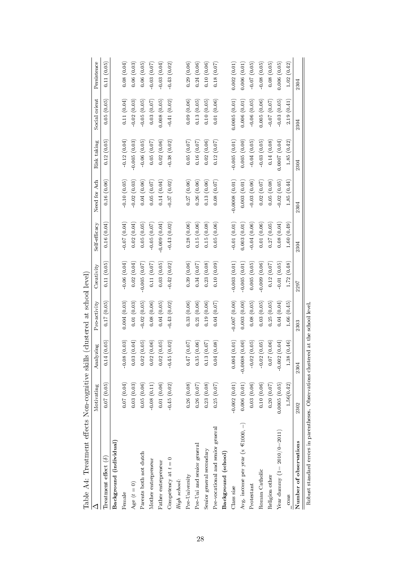| Table A4: Treatment effects Non-cognitive skill                                    |                |                 | s (clustered at school level) |                |               |                 |                |               |               |
|------------------------------------------------------------------------------------|----------------|-----------------|-------------------------------|----------------|---------------|-----------------|----------------|---------------|---------------|
|                                                                                    | Motivating     | Analyzing       | Pro-activity                  | Creativity     | Self-efficacy | Need for Ach    | Risk taking    | Social orient | Persistence   |
| Treatment effect $(\delta)$                                                        | 0.07(0.05)     | 0.14(0.05)      | 0.17(0.05)                    | 0.11(0.05)     | 0.16(0.04)    | 0.16(0.06)      | 0.12(0.05)     | 0.05(0.05)    | 0.11(0.05)    |
| Background (individual)                                                            |                |                 |                               |                |               |                 |                |               |               |
| Female                                                                             | 0.07(0.04)     | $-0.08(0.03)$   | 0.004(0.03)                   | $-0.06(0.04)$  | (60.07)(0.04) | 0.10(0.05)      | $-0.12(0.04)$  | 0.11(0.04)    | 0.08(0.04)    |
| Age $(t=0)$                                                                        | 0.03(0.03)     | 0.03(0.04)      | 0.01(0.03)                    | 0.02(0.04)     | 0.02(0.04)    | 0.02(0.03)      | $-0.005(0.03)$ | 0.02(0.03)    | 0.06(0.03)    |
| Parents both not dutch                                                             | 0.05(0.06)     | 0.02(0.05)      | 0.02(0.05)                    | 0.005(0.07)    | 0.05(0.05)    | 0.04(0.06)      | $-0.06(0.05)$  | 0.05(0.05)    | 0.06(0.05)    |
| Mother entrepreneur                                                                | $-0.08(0.11)$  | 0.02(0.06)      | 0.08(0.06)                    | 0.11(0.07)     | $-0.05(0.07)$ | 0.05(0.07)      | 0.05(0.07)     | 0.03(0.07)    | 0.03(0.07)    |
| Father entrepreneur                                                                | 0.01(0.06)     | 0.02(0.05)      | 0.04(0.05)                    | 0.03(0.05)     | 0.009(0.04)   | 0.14(0.04)      | 0.02(0.06)     | 0.008(0.05)   | 0.03(0.04)    |
| Competency at $t = 0$                                                              | $-0.45(0.02)$  | $-0.45(0.02)$   | $-0.43(0.02)$                 | $-0.42(0.02)$  | $-0.43(0.02)$ | $-0.37(0.02)$   | $-0.38(0.02)$  | $-0.41(0.02)$ | $-0.43(0.02)$ |
| High school:                                                                       |                |                 |                               |                |               |                 |                |               |               |
| Pre-University                                                                     | 0.26(0.08)     | (10.07)         | 0.33(0.06)                    | 0.39(0.06)     | 0.28(0.06)    | 0.27(0.06)      | 0.05(0.07)     | 0.09(0.06)    | 0.29(0.06)    |
| Pre-Uni and senior general                                                         | 0.26(0.07)     | 0.35(0.06)      | 0.21(0.06)                    | 0.34(0.07)     | 0.15(0.06)    | 0.26(0.06)      | 0.16(0.07)     | 0.13(0.05)    | 0.24(0.06)    |
| Senior general secondary                                                           | 0.23(0.08)     | 0.13(0.07)      | 0.19(0.06)                    | 0.23(0.08)     | 0.15(0.08)    | 0.13(0.06)      | 0.02(0.06)     | 0.10(0.05)    | 0.10(0.06)    |
| Pre-vocational and senior general                                                  | 0.25(0.07)     | 0.04(0.08)      | 0.04(0.07)                    | 0.10(0.09)     | 0.05(0.06)    | 0.08(0.07)      | 0.12(0.07)     | 0.01(0.06)    | 0.18(0.07)    |
| Background (school)                                                                |                |                 |                               |                |               |                 |                |               |               |
| Class size                                                                         | $-0.002(0.01)$ | 0.004(0.01)     | (0.007(0.00))                 | 0.003(0.01)    | 0.01(0.01)    | $-0.0008(0.01)$ | 0.005(0.01)    | 0.0005(0.01)  | 0.002(0.01)   |
| Avg. income per year ( $x \in 1000$ , -)                                           | 0.006(0.01)    | $-0.0008(0.00)$ | 0.003(0.00)                   | 0.005(0.01)    | 0.003(0.01)   | 0.003(0.01)     | 0.005(0.00)    | 0.006(0.01)   | 0.006(0.01)   |
| Protestant                                                                         | 0.03(0.06)     | $-0.02(0.05)$   | 0.08(0.05)                    | 0.005(0.05)    | $-0.04(0.06)$ | $-0.03(0.06)$   | $-0.04(0.05)$  | $-0.06(0.05)$ | $-0.07(0.05)$ |
| Roman Catholic                                                                     | 0.10(0.06)     | $-0.02(0.05)$   | 0.03(0.05)                    | 0.009(0.06)    | 0.01(0.06)    | 0.02(0.07)      | $-0.03(0.05)$  | 0.005(0.06)   | $-0.08(0.05)$ |
| Religion other                                                                     | 0.20(0.07)     | 0.07(0.06)      | 0.25(0.05)                    | $0.12\;(0.07)$ | 0.27(0.05)    | 0.05(0.08)      | 0.14(0.08)     | (0.07)(0.07)  | 0.08(0.05)    |
| Year dummy $(1=2010/0=2011)$                                                       | 0.0005(0.05)   | $-0.002(0.04)$  | 0.04(0.04)                    | $-0.01(0.05)$  | 0.08(0.04)    | $-0.02(0.05)$   | 0.0007(0.04)   | $-0.03(0.05)$ | 0.006(0.05)   |
| $\cos$                                                                             | 1.56(0.42)     | 1.38(0.46)      | 1.66(0.45)                    | 1.72(0.48)     | 1.60(0.49)    | 1.85(0.44)      | 1.85(0.42)     | 2.19(0.41)    | 1.02(0.42)    |
| Number of observations                                                             | 2302           | 2304            | 2303                          | 2297           | 2304          | 2304            | 2304           | 2304          | 2304          |
| Robust standard errors in parentheses. Observations clustered at the school level. |                |                 |                               |                |               |                 |                |               |               |

|   | ֠                                                                        |
|---|--------------------------------------------------------------------------|
|   |                                                                          |
|   |                                                                          |
|   |                                                                          |
|   |                                                                          |
|   |                                                                          |
|   |                                                                          |
|   | l                                                                        |
|   |                                                                          |
|   |                                                                          |
|   |                                                                          |
|   |                                                                          |
|   |                                                                          |
|   |                                                                          |
|   | l                                                                        |
|   |                                                                          |
|   |                                                                          |
|   | ֖֧֧֧֧֧֧֧֧֧֪֧֧֧֚֚֚֚֚֚֚֚֚֚֚֚֚֚֚֚֚֚֚֚֚֚֚֚֚֚֚֚֚֚֚֚֚֡֬֝֓֝֓֝֓֓֝֬֝֓֝֬֝֓֝֬֝֬֝֬֝֬ |
|   | l                                                                        |
|   |                                                                          |
|   | l                                                                        |
|   |                                                                          |
|   |                                                                          |
|   | l                                                                        |
|   | l                                                                        |
|   |                                                                          |
|   |                                                                          |
|   |                                                                          |
| Ì |                                                                          |
|   |                                                                          |
|   |                                                                          |
|   | j<br>ׇ֦ׅ֘֝֬                                                              |
|   |                                                                          |
|   | ו<br>ו                                                                   |
|   |                                                                          |
|   |                                                                          |
|   | .<br>.<br>.<br>.<br>.<br>.                                               |
|   |                                                                          |
|   | ֚֚֬                                                                      |
|   | <br> <br>                                                                |
|   | l                                                                        |
|   | ׇ֚֬֓֕֓֡֡<br>l                                                            |
|   |                                                                          |
|   |                                                                          |
|   | ĺ                                                                        |
|   |                                                                          |
|   |                                                                          |
|   |                                                                          |
|   |                                                                          |
|   |                                                                          |
|   |                                                                          |
|   |                                                                          |
|   | $\frac{1}{2}$                                                            |
| I | l<br>í                                                                   |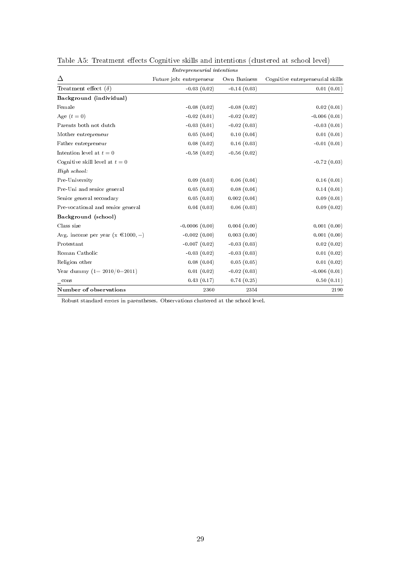|                                                         | Entrepreneurial intentions |               |                                  |
|---------------------------------------------------------|----------------------------|---------------|----------------------------------|
| Δ                                                       | Future job: entrepreneur   | Own Business  | Cognitive entrepreneurial skills |
| Treatment effect $(\delta)$                             | $-0.03(0.02)$              | $-0.14(0.03)$ | 0.01(0.01)                       |
| Background (individual)                                 |                            |               |                                  |
| Female                                                  | $-0.08(0.02)$              | $-0.08(0.02)$ | 0.02(0.01)                       |
| Age $(t=0)$                                             | $-0.02(0.01)$              | $-0.02(0.02)$ | $-0.006(0.01)$                   |
| Parents both not dutch                                  | $-0.03(0.01)$              | $-0.02(0.03)$ | $-0.03(0.01)$                    |
| Mother entrepreneur                                     | 0.05(0.04)                 | 0.10(0.04)    | 0.01(0.01)                       |
| Father entrepreneur                                     | 0.08(0.02)                 | 0.16(0.03)    | $-0.01(0.01)$                    |
| Intention level at $t=0$                                | $-0.58(0.02)$              | $-0.56(0.02)$ |                                  |
| Cognitive skill level at $t=0$                          |                            |               | $-0.72(0.03)$                    |
| High school:                                            |                            |               |                                  |
| Pre-University                                          | 0.09(0.03)                 | 0.06(0.04)    | 0.16(0.01)                       |
| Pre-Uni and senior general                              | 0.05(0.03)                 | 0.08(0.04)    | 0.14(0.01)                       |
| Senior general secondary                                | 0.05(0.03)                 | 0.002(0.04)   | 0.09(0.01)                       |
| Pre-vocational and senior general                       | 0.04(0.03)                 | 0.06(0.03)    | 0.09(0.02)                       |
| Background (school)                                     |                            |               |                                  |
| Class size                                              | $-0.0006(0.00)$            | 0.004(0.00)   | 0.001(0.00)                      |
| Avg. income per year (x $\text{\textsterling}1000, -$ ) | $-0.002(0.00)$             | 0.003(0.00)   | 0.001(0.00)                      |
| Protestant                                              | $-0.007(0.02)$             | $-0.03(0.03)$ | 0.02(0.02)                       |
| Roman Catholic                                          | $-0.03(0.02)$              | $-0.03(0.03)$ | 0.01(0.02)                       |
| Religion other                                          | 0.08(0.04)                 | 0.05(0.05)    | 0.01(0.02)                       |
| Year dummy $(1 = 2010/0 = 2011)$                        | 0.01(0.02)                 | $-0.02(0.03)$ | $-0.006(0.01)$                   |
| cons                                                    | 0.43(0.17)                 | 0.74(0.25)    | 0.50(0.11)                       |
| Number of observations                                  | 2360                       | 2354          | 2190                             |

Table A5: Treatment effects Cognitive skills and intentions (clustered at school level)

Robust standard errors in parentheses. Observations clustered at the school level.